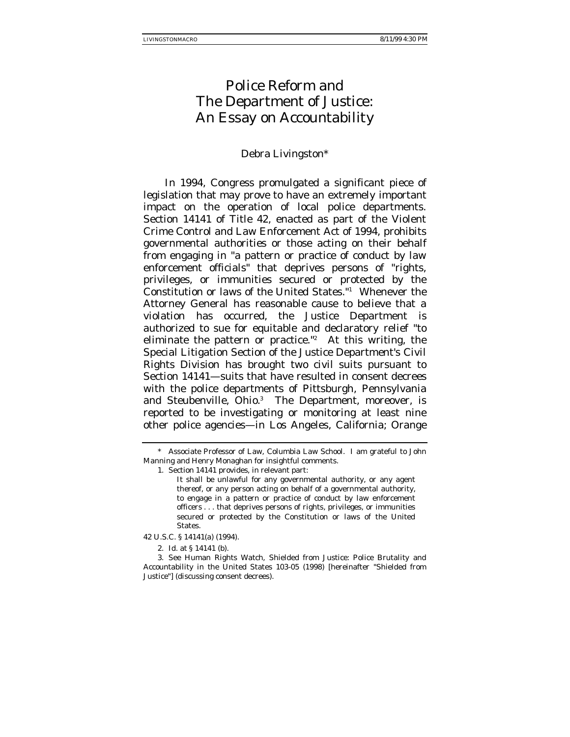# Police Reform and The Department of Justice: An Essay on Accountability

# Debra Livingston\*

In 1994, Congress promulgated a significant piece of legislation that may prove to have an extremely important impact on the operation of local police departments. Section 14141 of Title 42, enacted as part of the Violent Crime Control and Law Enforcement Act of 1994, prohibits governmental authorities or those acting on their behalf from engaging in "a pattern or practice of conduct by law enforcement officials" that deprives persons of "rights, privileges, or immunities secured or protected by the Constitution or laws of the United States."1 Whenever the Attorney General has reasonable cause to believe that a violation has occurred, the Justice Department is authorized to sue for equitable and declaratory relief "to eliminate the pattern or practice."2 At this writing, the Special Litigation Section of the Justice Department's Civil Rights Division has brought two civil suits pursuant to Section 14141—suits that have resulted in consent decrees with the police departments of Pittsburgh, Pennsylvania and Steubenville, Ohio.<sup>3</sup> The Department, moreover, is reported to be investigating or monitoring at least nine other police agencies—in Los Angeles, California; Orange

<sup>\*</sup> Associate Professor of Law, Columbia Law School. I am grateful to John Manning and Henry Monaghan for insightful comments.

<sup>1.</sup> Section 14141 provides, in relevant part:

It shall be unlawful for any governmental authority, or any agent thereof, or any person acting on behalf of a governmental authority, to engage in a pattern or practice of conduct by law enforcement officers . . . that deprives persons of rights, privileges, or immunities secured or protected by the Constitution or laws of the United States.

<sup>42</sup> U.S.C. § 14141(a) (1994).

<sup>2.</sup> Id. at § 14141 (b).

<sup>3.</sup> See Human Rights Watch, Shielded from Justice: Police Brutality and Accountability in the United States 103-05 (1998) [hereinafter "Shielded from Justice"] (discussing consent decrees).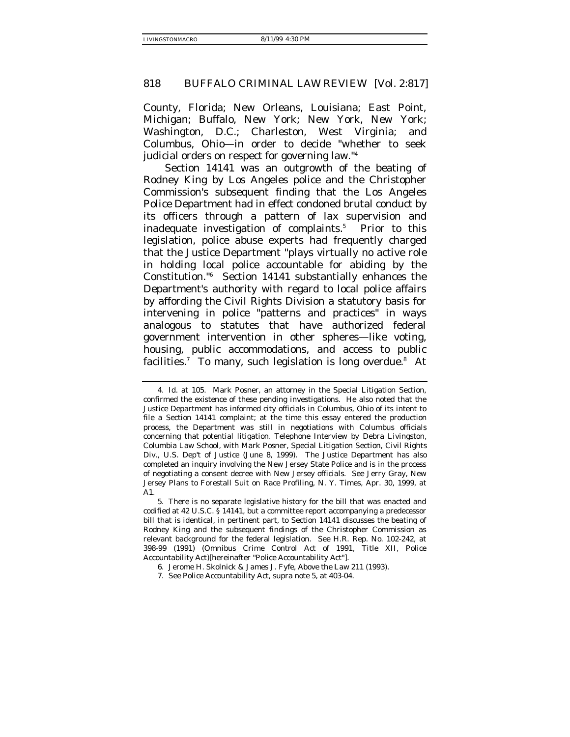County, Florida; New Orleans, Louisiana; East Point, Michigan; Buffalo, New York; New York, New York; Washington, D.C.; Charleston, West Virginia; and Columbus, Ohio—in order to decide "whether to seek judicial orders on respect for governing law."4

Section 14141 was an outgrowth of the beating of Rodney King by Los Angeles police and the Christopher Commission's subsequent finding that the Los Angeles Police Department had in effect condoned brutal conduct by its officers through a pattern of lax supervision and inadequate investigation of complaints.<sup>5</sup> Prior to this legislation, police abuse experts had frequently charged that the Justice Department "plays virtually no active role in holding local police accountable for abiding by the Constitution."6 Section 14141 substantially enhances the Department's authority with regard to local police affairs by affording the Civil Rights Division a statutory basis for intervening in police "patterns and practices" in ways analogous to statutes that have authorized federal government intervention in other spheres—like voting, housing, public accommodations, and access to public facilities.<sup>7</sup> To many, such legislation is long overdue.<sup>8</sup> At

<sup>4.</sup> Id. at 105. Mark Posner, an attorney in the Special Litigation Section, confirmed the existence of these pending investigations. He also noted that the Justice Department has informed city officials in Columbus, Ohio of its intent to file a Section 14141 complaint; at the time this essay entered the production process, the Department was still in negotiations with Columbus officials concerning that potential litigation. Telephone Interview by Debra Livingston, Columbia Law School, with Mark Posner, Special Litigation Section, Civil Rights Div., U.S. Dep't of Justice (June 8, 1999). The Justice Department has also completed an inquiry involving the New Jersey State Police and is in the process of negotiating a consent decree with New Jersey officials. See Jerry Gray, New Jersey Plans to Forestall Suit on Race Profiling, N. Y. Times, Apr. 30, 1999, at A<sub>1</sub>

<sup>5.</sup> There is no separate legislative history for the bill that was enacted and codified at 42 U.S.C. § 14141, but a committee report accompanying a predecessor bill that is identical, in pertinent part, to Section 14141 discusses the beating of Rodney King and the subsequent findings of the Christopher Commission as relevant background for the federal legislation. See H.R. Rep. No. 102-242, at 398-99 (1991) (Omnibus Crime Control Act of 1991, Title XII, Police Accountability Act)[hereinafter "Police Accountability Act"].

<sup>6.</sup> Jerome H. Skolnick & James J. Fyfe, Above the Law 211 (1993).

<sup>7.</sup> See Police Accountability Act, supra note 5, at 403-04.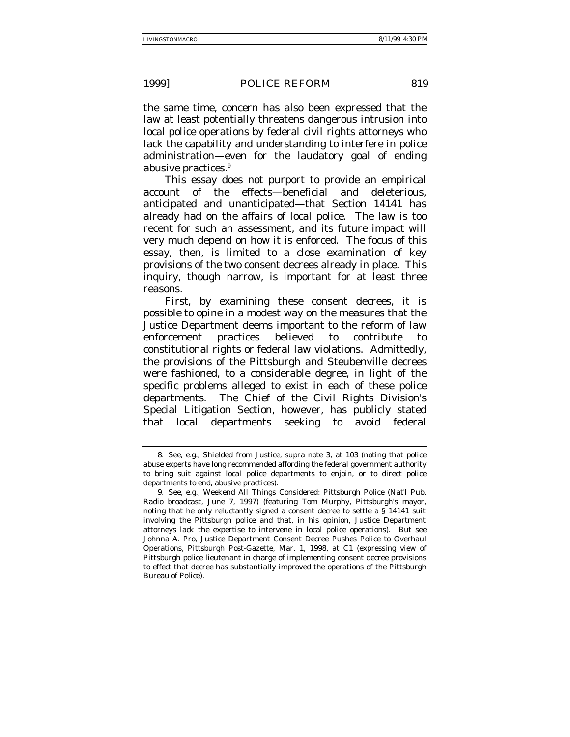the same time, concern has also been expressed that the law at least potentially threatens dangerous intrusion into local police operations by federal civil rights attorneys who lack the capability and understanding to interfere in police administration—even for the laudatory goal of ending abusive practices.<sup>9</sup>

This essay does not purport to provide an empirical account of the effects—beneficial and deleterious, anticipated and unanticipated—that Section 14141 has already had on the affairs of local police. The law is too recent for such an assessment, and its future impact will very much depend on how it is enforced. The focus of this essay, then, is limited to a close examination of key provisions of the two consent decrees already in place. This inquiry, though narrow, is important for at least three reasons.

First, by examining these consent decrees, it is possible to opine in a modest way on the measures that the Justice Department deems important to the reform of law enforcement practices believed to contribute to constitutional rights or federal law violations. Admittedly, the provisions of the Pittsburgh and Steubenville decrees were fashioned, to a considerable degree, in light of the specific problems alleged to exist in each of these police departments. The Chief of the Civil Rights Division's Special Litigation Section, however, has publicly stated that local departments seeking to avoid federal

<sup>8.</sup> See, e.g., Shielded from Justice, supra note 3, at 103 (noting that police abuse experts have long recommended affording the federal government authority to bring suit against local police departments to enjoin, or to direct police departments to end, abusive practices).

<sup>9.</sup> See, e.g., Weekend All Things Considered: Pittsburgh Police (Nat'l Pub. Radio broadcast, June 7, 1997) (featuring Tom Murphy, Pittsburgh's mayor, noting that he only reluctantly signed a consent decree to settle a § 14141 suit involving the Pittsburgh police and that, in his opinion, Justice Department attorneys lack the expertise to intervene in local police operations). But see Johnna A. Pro, Justice Department Consent Decree Pushes Police to Overhaul Operations, Pittsburgh Post-Gazette, Mar. 1, 1998, at C1 (expressing view of Pittsburgh police lieutenant in charge of implementing consent decree provisions to effect that decree has substantially improved the operations of the Pittsburgh Bureau of Police).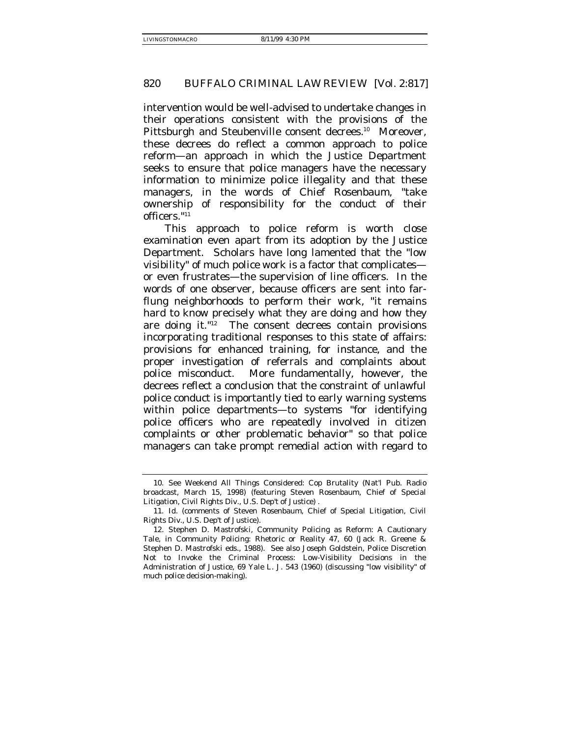intervention would be well-advised to undertake changes in their operations consistent with the provisions of the Pittsburgh and Steubenville consent decrees.<sup>10</sup> Moreover, these decrees do reflect a common approach to police reform—an approach in which the Justice Department seeks to ensure that police managers have the necessary information to minimize police illegality and that these managers, in the words of Chief Rosenbaum, "take ownership of responsibility for the conduct of their officers."11

This approach to police reform is worth close examination even apart from its adoption by the Justice Department. Scholars have long lamented that the "low visibility" of much police work is a factor that complicates or even frustrates—the supervision of line officers. In the words of one observer, because officers are sent into farflung neighborhoods to perform their work, "it remains hard to know precisely what they are doing and how they are doing it."12 The consent decrees contain provisions incorporating traditional responses to this state of affairs: provisions for enhanced training, for instance, and the proper investigation of referrals and complaints about police misconduct. More fundamentally, however, the decrees reflect a conclusion that the constraint of unlawful police conduct is importantly tied to early warning systems within police departments—to systems "for identifying police officers who are repeatedly involved in citizen complaints or other problematic behavior" so that police managers can take prompt remedial action with regard to

<sup>10.</sup> See Weekend All Things Considered: Cop Brutality (Nat'l Pub. Radio broadcast, March 15, 1998) (featuring Steven Rosenbaum, Chief of Special Litigation, Civil Rights Div., U.S. Dep't of Justice) .

<sup>11.</sup> Id. (comments of Steven Rosenbaum, Chief of Special Litigation, Civil Rights Div., U.S. Dep't of Justice).

<sup>12.</sup> Stephen D. Mastrofski, Community Policing as Reform: A Cautionary Tale, in Community Policing: Rhetoric or Reality 47, 60 (Jack R. Greene & Stephen D. Mastrofski eds., 1988). See also Joseph Goldstein, Police Discretion Not to Invoke the Criminal Process: Low-Visibility Decisions in the Administration of Justice, 69 Yale L. J. 543 (1960) (discussing "low visibility" of much police decision-making).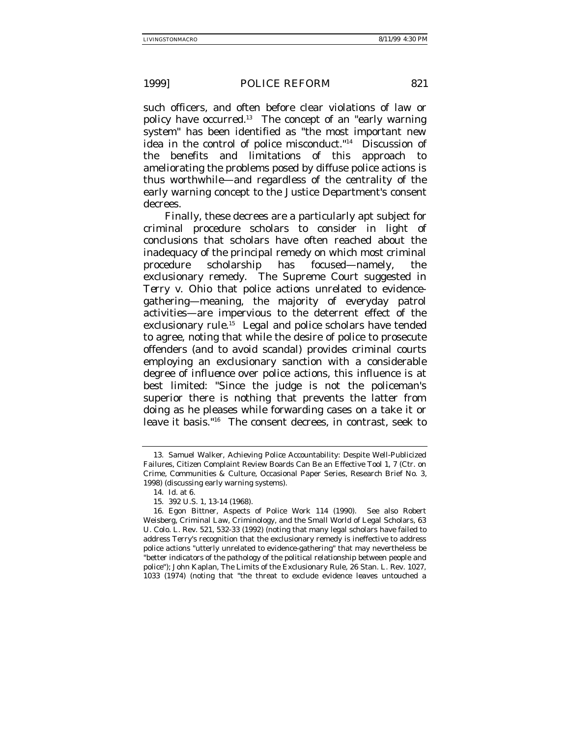such officers, and often before clear violations of law or policy have occurred.13 The concept of an "early warning system" has been identified as "the most important new idea in the control of police misconduct."14 Discussion of the benefits and limitations of this approach to ameliorating the problems posed by diffuse police actions is thus worthwhile—and regardless of the centrality of the early warning concept to the Justice Department's consent decrees.

Finally, these decrees are a particularly apt subject for criminal procedure scholars to consider in light of conclusions that scholars have often reached about the inadequacy of the principal remedy on which most criminal procedure scholarship has focused—namely, the exclusionary remedy. The Supreme Court suggested in *Terry v. Ohio* that police actions unrelated to evidencegathering—meaning, the majority of everyday patrol activities—are impervious to the deterrent effect of the exclusionary rule.<sup>15</sup> Legal and police scholars have tended to agree, noting that while the desire of police to prosecute offenders (and to avoid scandal) provides criminal courts employing an exclusionary sanction with a considerable degree of *influence* over police actions, this influence is at best limited: "Since the judge is not the policeman's superior there is nothing that prevents the latter from doing as he pleases while forwarding cases on a take it or leave it basis."16 The consent decrees, in contrast, seek to

<sup>13.</sup> Samuel Walker, Achieving Police Accountability: Despite Well-Publicized Failures, Citizen Complaint Review Boards Can Be an Effective Tool 1, 7 (Ctr. on Crime, Communities & Culture, Occasional Paper Series, Research Brief No. 3, 1998) (discussing early warning systems).

<sup>14.</sup> Id. at 6.

<sup>15. 392</sup> U.S. 1, 13-14 (1968).

<sup>16.</sup> Egon Bittner, Aspects of Police Work 114 (1990). See also Robert Weisberg, Criminal Law, Criminology, and the Small World of Legal Scholars, 63 U. Colo. L. Rev. 521, 532-33 (1992) (noting that many legal scholars have failed to address Terry's recognition that the exclusionary remedy is ineffective to address police actions "utterly unrelated to evidence-gathering" that may nevertheless be "better indicators of the pathology of the political relationship between people and police"); John Kaplan, The Limits of the Exclusionary Rule, 26 Stan. L. Rev. 1027, 1033 (1974) (noting that "the threat to exclude evidence leaves untouched a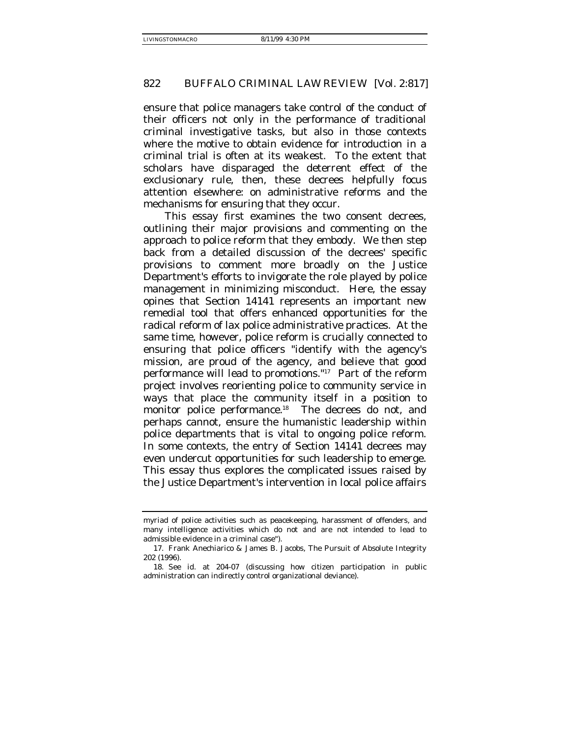ensure that police managers take control of the conduct of their officers not only in the performance of traditional criminal investigative tasks, but also in those contexts where the motive to obtain evidence for introduction in a criminal trial is often at its weakest. To the extent that scholars have disparaged the deterrent effect of the exclusionary rule, then, these decrees helpfully focus attention elsewhere: on administrative reforms and the mechanisms for ensuring that they occur.

This essay first examines the two consent decrees, outlining their major provisions and commenting on the approach to police reform that they embody. We then step back from a detailed discussion of the decrees' specific provisions to comment more broadly on the Justice Department's efforts to invigorate the role played by police management in minimizing misconduct. Here, the essay opines that Section 14141 represents an important new remedial tool that offers enhanced opportunities for the radical reform of lax police administrative practices. At the same time, however, police reform is crucially connected to ensuring that police officers "identify with the agency's mission, are proud of the agency, and believe that good performance will lead to promotions."17 Part of the reform project involves reorienting police to community service in ways that place the community itself in a position to monitor police performance.<sup>18</sup> The decrees do not, and perhaps cannot, ensure the humanistic leadership within police departments that is vital to ongoing police reform. In some contexts, the entry of Section 14141 decrees may even undercut opportunities for such leadership to emerge. This essay thus explores the complicated issues raised by the Justice Department's intervention in local police affairs

myriad of police activities such as peacekeeping, harassment of offenders, and many intelligence activities which do not and are not intended to lead to admissible evidence in a criminal case").

<sup>17.</sup> Frank Anechiarico & James B. Jacobs, The Pursuit of Absolute Integrity 202 (1996).

<sup>18.</sup> See id. at 204-07 (discussing how citizen participation in public administration can indirectly control organizational deviance).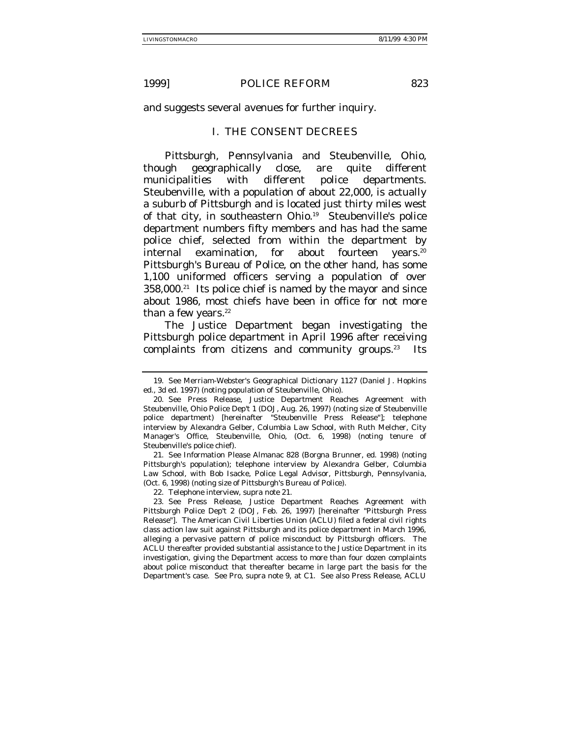and suggests several avenues for further inquiry.

## I. THE CONSENT DECREES

Pittsburgh, Pennsylvania and Steubenville, Ohio, though geographically close, are quite different municipalities with different police departments. Steubenville, with a population of about 22,000, is actually a suburb of Pittsburgh and is located just thirty miles west of that city, in southeastern Ohio.<sup>19</sup> Steubenville's police department numbers fifty members and has had the same police chief, selected from within the department by internal examination, for about fourteen years.<sup>20</sup> Pittsburgh's Bureau of Police, on the other hand, has some 1,100 uniformed officers serving a population of over 358,000.21 Its police chief is named by the mayor and since about 1986, most chiefs have been in office for not more than a few years. $22$ 

The Justice Department began investigating the Pittsburgh police department in April 1996 after receiving complaints from citizens and community groups. $23$  Its

21. See Information Please Almanac 828 (Borgna Brunner, ed. 1998) (noting Pittsburgh's population); telephone interview by Alexandra Gelber, Columbia Law School, with Bob Isacke, Police Legal Advisor, Pittsburgh, Pennsylvania, (Oct. 6, 1998) (noting size of Pittsburgh's Bureau of Police).

22. Telephone interview, supra note 21.

23. See Press Release, Justice Department Reaches Agreement with Pittsburgh Police Dep't 2 (DOJ, Feb. 26, 1997) [hereinafter "Pittsburgh Press Release"]. The American Civil Liberties Union (ACLU) filed a federal civil rights class action law suit against Pittsburgh and its police department in March 1996, alleging a pervasive pattern of police misconduct by Pittsburgh officers. The ACLU thereafter provided substantial assistance to the Justice Department in its investigation, giving the Department access to more than four dozen complaints about police misconduct that thereafter became in large part the basis for the Department's case. See Pro, supra note 9, at C1. See also Press Release, ACLU

<sup>19.</sup> See Merriam-Webster's Geographical Dictionary 1127 (Daniel J. Hopkins ed., 3d ed. 1997) (noting population of Steubenville, Ohio).

<sup>20.</sup> See Press Release, Justice Department Reaches Agreement with Steubenville, Ohio Police Dep't 1 (DOJ, Aug. 26, 1997) (noting size of Steubenville police department) [hereinafter "Steubenville Press Release"]; telephone interview by Alexandra Gelber, Columbia Law School, with Ruth Melcher, City Manager's Office, Steubenville, Ohio, (Oct. 6, 1998) (noting tenure of Steubenville's police chief).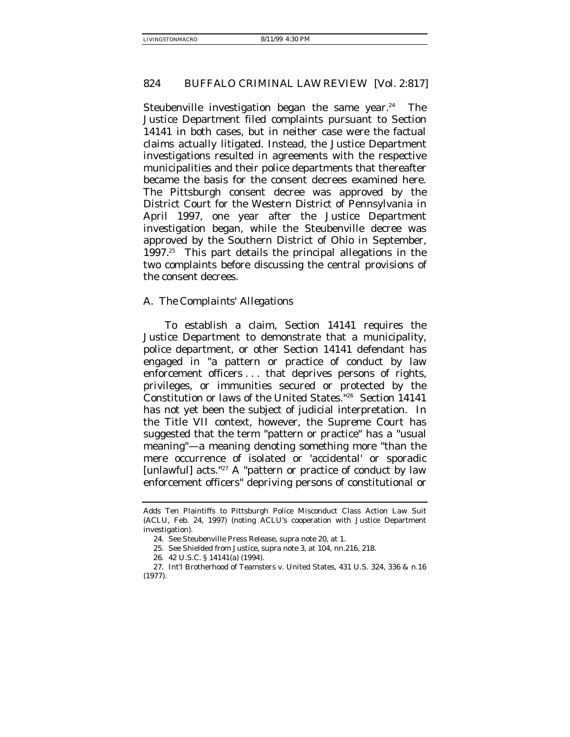Steubenville investigation began the same year.<sup>24</sup> The Justice Department filed complaints pursuant to Section 14141 in both cases, but in neither case were the factual claims actually litigated. Instead, the Justice Department investigations resulted in agreements with the respective municipalities and their police departments that thereafter became the basis for the consent decrees examined here. The Pittsburgh consent decree was approved by the District Court for the Western District of Pennsylvania in April 1997, one year after the Justice Department investigation began, while the Steubenville decree was approved by the Southern District of Ohio in September, 1997.25 This part details the principal allegations in the two complaints before discussing the central provisions of the consent decrees.

#### *A. The Complaints' Allegations*

To establish a claim, Section 14141 requires the Justice Department to demonstrate that a municipality, police department, or other Section 14141 defendant has engaged in "a pattern or practice of conduct by law enforcement officers ... that deprives persons of rights, privileges, or immunities secured or protected by the Constitution or laws of the United States."26 Section 14141 has not yet been the subject of judicial interpretation. In the Title VII context, however, the Supreme Court has suggested that the term "pattern or practice" has a "usual meaning"—a meaning denoting something more "than the mere occurrence of isolated or 'accidental' or sporadic [unlawful] acts."<sup>27</sup> A "pattern or practice of conduct by law enforcement officers" depriving persons of constitutional or

Adds Ten Plaintiffs to Pittsburgh Police Misconduct Class Action Law Suit (ACLU, Feb. 24, 1997) (noting ACLU's cooperation with Justice Department investigation).

<sup>24.</sup> See Steubenville Press Release, supra note 20, at 1.

<sup>25.</sup> See Shielded from Justice, supra note 3, at 104, nn.216, 218.

<sup>26. 42</sup> U.S.C. § 14141(a) (1994).

<sup>27.</sup> Int'l Brotherhood of Teamsters v. United States, 431 U.S. 324, 336 & n.16 (1977).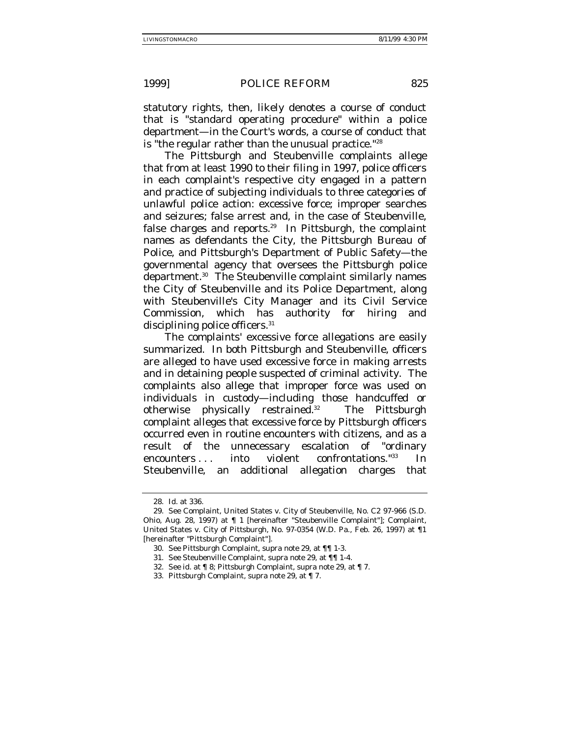statutory rights, then, likely denotes a course of conduct that is "standard operating procedure" within a police department—in the Court's words, a course of conduct that is "the regular rather than the unusual practice."<sup>28</sup>

The Pittsburgh and Steubenville complaints allege that from at least 1990 to their filing in 1997, police officers in each complaint's respective city engaged in a pattern and practice of subjecting individuals to three categories of unlawful police action: excessive force; improper searches and seizures; false arrest and, in the case of Steubenville, false charges and reports.29 In Pittsburgh, the complaint names as defendants the City, the Pittsburgh Bureau of Police, and Pittsburgh's Department of Public Safety—the governmental agency that oversees the Pittsburgh police department.30 The Steubenville complaint similarly names the City of Steubenville and its Police Department, along with Steubenville's City Manager and its Civil Service Commission, which has authority for hiring and disciplining police officers.<sup>31</sup>

The complaints' excessive force allegations are easily summarized. In both Pittsburgh and Steubenville, officers are alleged to have used excessive force in making arrests and in detaining people suspected of criminal activity. The complaints also allege that improper force was used on individuals in custody—including those handcuffed or otherwise physically restrained.32 The Pittsburgh complaint alleges that excessive force by Pittsburgh officers occurred even in routine encounters with citizens, and as a result of the unnecessary escalation of "ordinary encounters . . . into violent confrontations."33 In Steubenville, an additional allegation charges that

<sup>28.</sup> Id. at 336.

<sup>29.</sup> See Complaint, United States v. City of Steubenville, No. C2 97-966 (S.D. Ohio, Aug. 28, 1997) at ¶ 1 [hereinafter "Steubenville Complaint"]; Complaint, United States v. City of Pittsburgh, No. 97-0354 (W.D. Pa., Feb. 26, 1997) at ¶1 [hereinafter "Pittsburgh Complaint"].

<sup>30.</sup> See Pittsburgh Complaint, supra note 29, at ¶¶ 1-3.

<sup>31.</sup> See Steubenville Complaint, supra note 29, at ¶¶ 1-4.

<sup>32.</sup> See id. at ¶ 8; Pittsburgh Complaint, supra note 29, at ¶ 7.

<sup>33.</sup> Pittsburgh Complaint, supra note 29, at ¶ 7.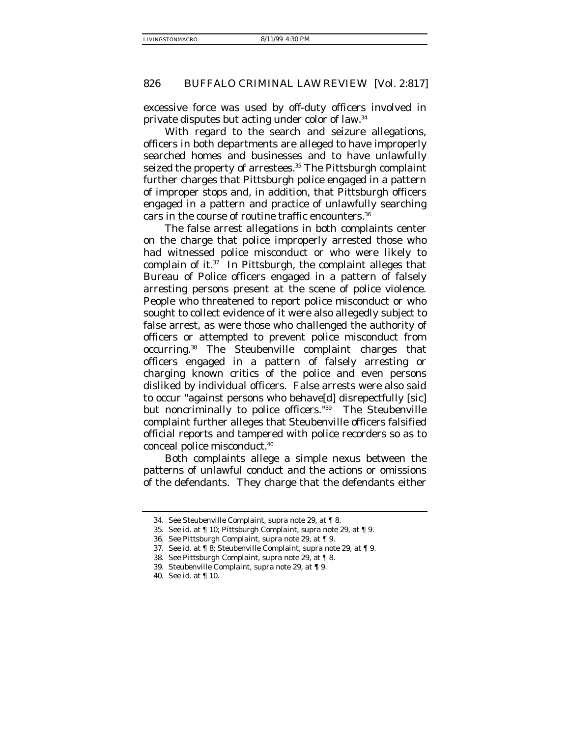excessive force was used by off-duty officers involved in private disputes but acting under color of law.34

With regard to the search and seizure allegations, officers in both departments are alleged to have improperly searched homes and businesses and to have unlawfully seized the property of arrestees.<sup>35</sup> The Pittsburgh complaint further charges that Pittsburgh police engaged in a pattern of improper stops and, in addition, that Pittsburgh officers engaged in a pattern and practice of unlawfully searching cars in the course of routine traffic encounters.36

The false arrest allegations in both complaints center on the charge that police improperly arrested those who had witnessed police misconduct or who were likely to complain of it. $37$  In Pittsburgh, the complaint alleges that Bureau of Police officers engaged in a pattern of falsely arresting persons present at the scene of police violence. People who threatened to report police misconduct or who sought to collect evidence of it were also allegedly subject to false arrest, as were those who challenged the authority of officers or attempted to prevent police misconduct from occurring.38 The Steubenville complaint charges that officers engaged in a pattern of falsely arresting or charging known critics of the police and even persons disliked by individual officers. False arrests were also said to occur "against persons who behave[d] disrepectfully [sic] but noncriminally to police officers."39 The Steubenville complaint further alleges that Steubenville officers falsified official reports and tampered with police recorders so as to conceal police misconduct.40

Both complaints allege a simple nexus between the patterns of unlawful conduct and the actions or omissions of the defendants. They charge that the defendants either

<sup>34.</sup> See Steubenville Complaint, supra note 29, at ¶ 8.

<sup>35.</sup> See id. at ¶ 10; Pittsburgh Complaint, supra note 29, at ¶ 9.

<sup>36.</sup> See Pittsburgh Complaint, supra note 29, at ¶ 9.

<sup>37.</sup> See id. at ¶ 8; Steubenville Complaint, supra note 29, at ¶ 9.

<sup>38.</sup> See Pittsburgh Complaint, supra note 29, at ¶ 8.

<sup>39.</sup> Steubenville Complaint, supra note 29, at ¶ 9.

<sup>40.</sup> See id. at ¶ 10.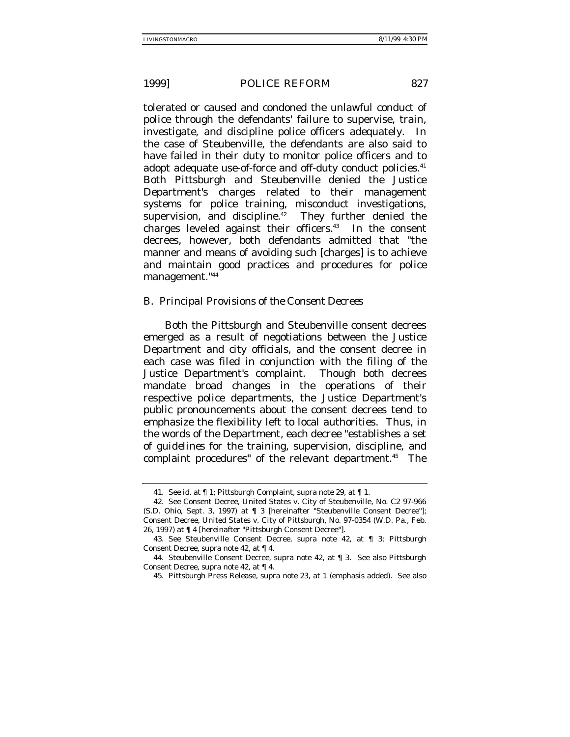tolerated or caused and condoned the unlawful conduct of police through the defendants' failure to supervise, train, investigate, and discipline police officers adequately. In the case of Steubenville, the defendants are also said to have failed in their duty to monitor police officers and to adopt adequate use-of-force and off-duty conduct policies.<sup>41</sup> Both Pittsburgh and Steubenville denied the Justice Department's charges related to their management systems for police training, misconduct investigations, supervision, and discipline. $42$  They further denied the charges leveled against their officers.43 In the consent decrees, however, both defendants admitted that "the manner and means of avoiding such [charges] is to achieve and maintain good practices and procedures for police management."44

## *B. Principal Provisions of the Consent Decrees*

Both the Pittsburgh and Steubenville consent decrees emerged as a result of negotiations between the Justice Department and city officials, and the consent decree in each case was filed in conjunction with the filing of the Justice Department's complaint. Though both decrees mandate broad changes in the operations of their respective police departments, the Justice Department's public pronouncements about the consent decrees tend to emphasize the flexibility left to local authorities. Thus, in the words of the Department, each decree "establishes a set of *guidelines* for the training, supervision, discipline, and complaint procedures" of the relevant department.<sup>45</sup> The

<sup>41.</sup> See id. at ¶ 1; Pittsburgh Complaint, supra note 29, at ¶ 1.

<sup>42.</sup> See Consent Decree, United States v. City of Steubenville, No. C2 97-966 (S.D. Ohio, Sept. 3, 1997) at ¶ 3 [hereinafter "Steubenville Consent Decree"]; Consent Decree, United States v. City of Pittsburgh, No. 97-0354 (W.D. Pa., Feb. 26, 1997) at ¶ 4 [hereinafter "Pittsburgh Consent Decree"].

<sup>43.</sup> See Steubenville Consent Decree, supra note 42, at ¶ 3; Pittsburgh Consent Decree, supra note 42, at ¶ 4.

<sup>44.</sup> Steubenville Consent Decree, supra note 42, at ¶ 3. See also Pittsburgh Consent Decree, supra note 42*,* at ¶ 4.

<sup>45.</sup> Pittsburgh Press Release, supra note 23, at 1 (emphasis added). See also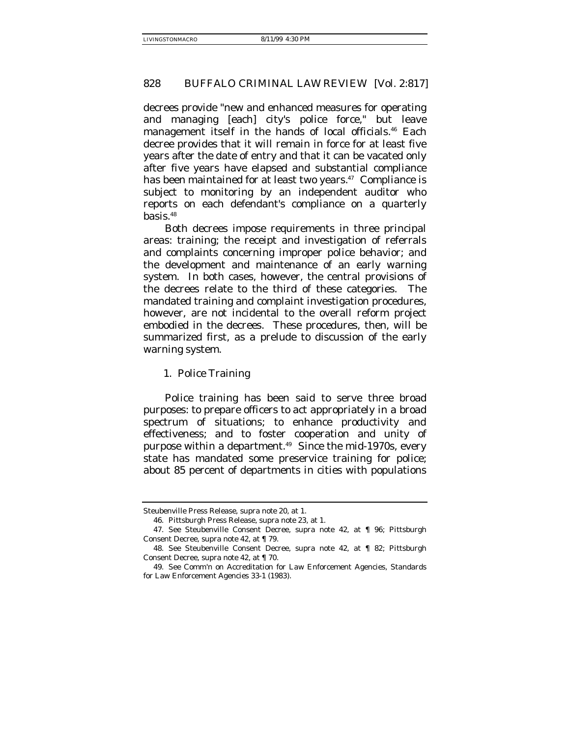decrees provide "new and enhanced measures for operating and managing [each] city's police force," but leave management itself in the hands of local officials.<sup>46</sup> Each decree provides that it will remain in force for at least five years after the date of entry and that it can be vacated only after five years have elapsed and substantial compliance has been maintained for at least two years.<sup>47</sup> Compliance is subject to monitoring by an independent auditor who reports on each defendant's compliance on a quarterly basis. $48$ 

Both decrees impose requirements in three principal areas: training; the receipt and investigation of referrals and complaints concerning improper police behavior; and the development and maintenance of an early warning system. In both cases, however, the central provisions of the decrees relate to the third of these categories. The mandated training and complaint investigation procedures, however, are not incidental to the overall reform project embodied in the decrees. These procedures, then, will be summarized first, as a prelude to discussion of the early warning system.

# 1. Police Training

Police training has been said to serve three broad purposes: to prepare officers to act appropriately in a broad spectrum of situations; to enhance productivity and effectiveness; and to foster cooperation and unity of purpose within a department.<sup>49</sup> Since the mid-1970s, every state has mandated some preservice training for police; about 85 percent of departments in cities with populations

Steubenville Press Release, supra note 20, at 1.

<sup>46.</sup> Pittsburgh Press Release, supra note 23, at 1.

<sup>47.</sup> See Steubenville Consent Decree, supra note 42, at ¶ 96; Pittsburgh Consent Decree, supra note 42, at ¶ 79.

<sup>48.</sup> See Steubenville Consent Decree, supra note 42, at ¶ 82; Pittsburgh Consent Decree, supra note 42, at ¶ 70.

<sup>49.</sup> See Comm'n on Accreditation for Law Enforcement Agencies, Standards for Law Enforcement Agencies 33-1 (1983).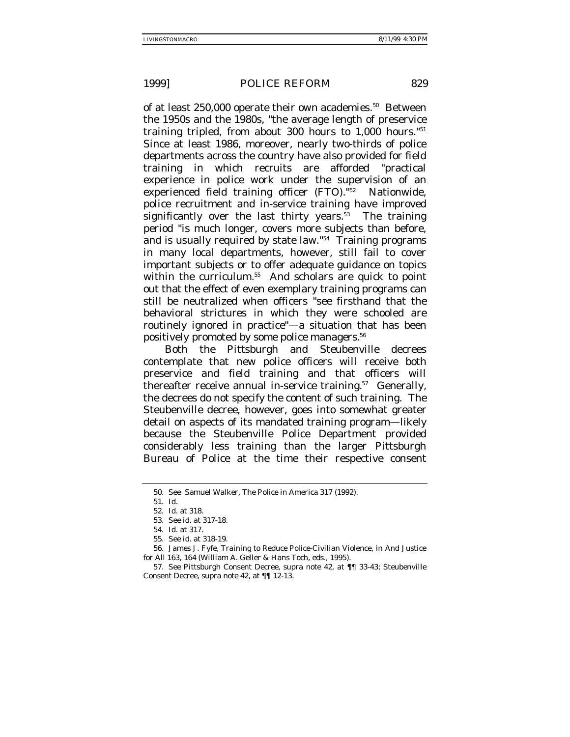of at least 250,000 operate their own academies.<sup>50</sup> Between the 1950s and the 1980s, "the average length of preservice training tripled, from about 300 hours to 1,000 hours."51 Since at least 1986, moreover, nearly two-thirds of police departments across the country have also provided for field training in which recruits are afforded "practical experience in police work under the supervision of an experienced field training officer (FTO)."52 Nationwide, police recruitment and in-service training have improved significantly over the last thirty years. $53$  The training period "is much longer, covers more subjects than before, and is usually required by state law."54 Training programs in many local departments, however, still fail to cover important subjects or to offer adequate guidance on topics within the curriculum.<sup>55</sup> And scholars are quick to point out that the effect of even exemplary training programs can still be neutralized when officers "see firsthand that the behavioral strictures in which they were schooled are routinely ignored in practice"—a situation that has been positively promoted by some police managers.<sup>56</sup>

Both the Pittsburgh and Steubenville decrees contemplate that new police officers will receive both preservice and field training and that officers will thereafter receive annual in-service training.<sup>57</sup> Generally, the decrees do not specify the content of such training. The Steubenville decree, however, goes into somewhat greater detail on aspects of its mandated training program—likely because the Steubenville Police Department provided considerably less training than the larger Pittsburgh Bureau of Police at the time their respective consent

<sup>50.</sup> See Samuel Walker, The Police in America 317 (1992).

<sup>51.</sup> Id.

<sup>52.</sup> Id. at 318.

<sup>53.</sup> See id. at 317-18.

<sup>54.</sup> Id. at 317.

<sup>55.</sup> See id. at 318-19.

<sup>56.</sup> James J. Fyfe, Training to Reduce Police-Civilian Violence, in And Justice for All 163, 164 (William A. Geller & Hans Toch, eds., 1995).

<sup>57.</sup> See Pittsburgh Consent Decree, supra note 42, at ¶¶ 33-43; Steubenville Consent Decree, supra note 42, at ¶¶ 12-13.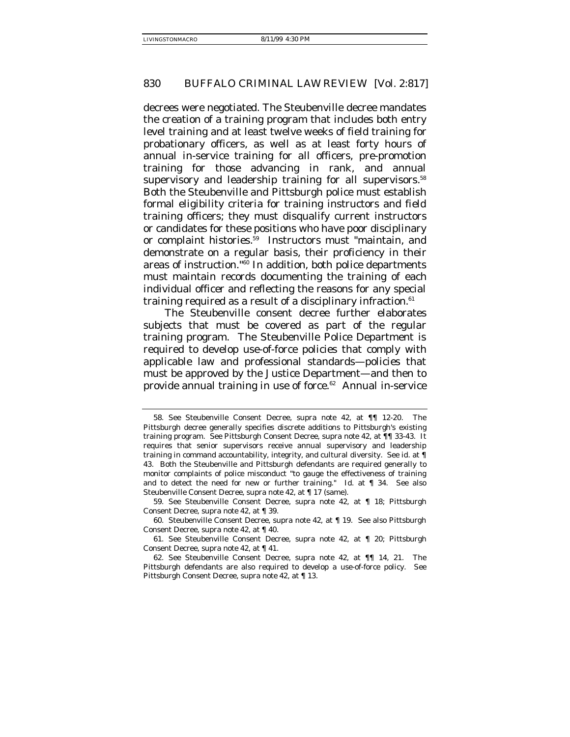decrees were negotiated. The Steubenville decree mandates the creation of a training program that includes both entry level training and at least twelve weeks of field training for probationary officers, as well as at least forty hours of annual in-service training for all officers, pre-promotion training for those advancing in rank, and annual supervisory and leadership training for all supervisors.<sup>58</sup> Both the Steubenville and Pittsburgh police must establish formal eligibility criteria for training instructors and field training officers; they must disqualify current instructors or candidates for these positions who have poor disciplinary or complaint histories.59 Instructors must "maintain, and demonstrate on a regular basis, their proficiency in their areas of instruction."60 In addition, both police departments must maintain records documenting the training of each individual officer and reflecting the reasons for any special training required as a result of a disciplinary infraction. $61$ 

The Steubenville consent decree further elaborates subjects that must be covered as part of the regular training program. The Steubenville Police Department is required to develop use-of-force policies that comply with applicable law and professional standards—policies that must be approved by the Justice Department—and then to provide annual training in use of force.<sup>62</sup> Annual in-service

<sup>58.</sup> See Steubenville Consent Decree, supra note 42, at ¶¶ 12-20. The Pittsburgh decree generally specifies discrete additions to Pittsburgh's existing training program. See Pittsburgh Consent Decree, supra note 42, at ¶¶ 33-43. It requires that senior supervisors receive annual supervisory and leadership training in command accountability, integrity, and cultural diversity. See id. at ¶ 43. Both the Steubenville and Pittsburgh defendants are required generally to monitor complaints of police misconduct "to gauge the effectiveness of training and to detect the need for new or further training." Id. at ¶ 34. See also Steubenville Consent Decree, supra note 42, at ¶ 17 (same).

<sup>59.</sup> See Steubenville Consent Decree, supra note 42, at ¶ 18; Pittsburgh Consent Decree, supra note 42, at ¶ 39.

<sup>60.</sup> Steubenville Consent Decree, supra note 42, at ¶ 19. See also Pittsburgh Consent Decree, supra note 42, at ¶ 40.

<sup>61.</sup> See Steubenville Consent Decree, supra note 42, at ¶ 20; Pittsburgh Consent Decree, supra note 42, at ¶ 41.

<sup>62.</sup> See Steubenville Consent Decree, supra note 42, at ¶¶ 14, 21. The Pittsburgh defendants are also required to develop a use-of-force policy. See Pittsburgh Consent Decree, supra note 42, at ¶ 13.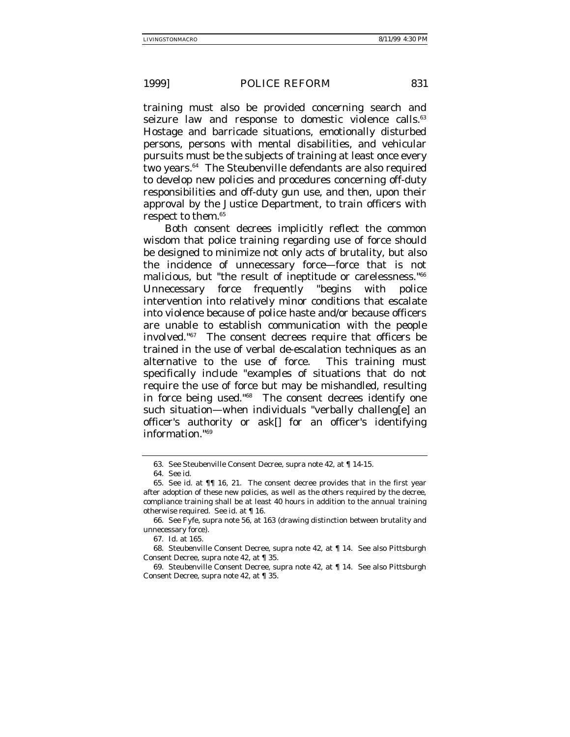training must also be provided concerning search and seizure law and response to domestic violence calls.<sup>63</sup> Hostage and barricade situations, emotionally disturbed persons, persons with mental disabilities, and vehicular pursuits must be the subjects of training at least once every two years.<sup>64</sup> The Steubenville defendants are also required to develop new policies and procedures concerning off-duty responsibilities and off-duty gun use, and then, upon their approval by the Justice Department, to train officers with respect to them.65

Both consent decrees implicitly reflect the common wisdom that police training regarding use of force should be designed to minimize not only acts of brutality, but also the incidence of unnecessary force—force that is not malicious, but "the result of ineptitude or carelessness."66 Unnecessary force frequently "begins with police intervention into relatively minor conditions that escalate into violence because of police haste and/or because officers are unable to establish communication with the people involved."67 The consent decrees require that officers be trained in the use of verbal de-escalation techniques as an alternative to the use of force. This training must specifically include "examples of situations that do not require the use of force but may be mishandled, resulting in force being used."68 The consent decrees identify one such situation—when individuals "verbally challeng[e] an officer's authority or ask[] for an officer's identifying information."69

<sup>63.</sup> See Steubenville Consent Decree, supra note 42, at ¶ 14-15.

<sup>64.</sup> See id.

<sup>65.</sup> See id. at ¶¶ 16, 21. The consent decree provides that in the first year after adoption of these new policies, as well as the others required by the decree, compliance training shall be at least 40 hours in addition to the annual training otherwise required. See id. at ¶ 16.

<sup>66.</sup> See Fyfe, supra note 56, at 163 (drawing distinction between brutality and unnecessary force).

<sup>67.</sup> Id. at 165.

<sup>68.</sup> Steubenville Consent Decree, supra note 42, at ¶ 14. See also Pittsburgh Consent Decree, supra note 42, at ¶ 35.

<sup>69.</sup> Steubenville Consent Decree, supra note 42, at ¶ 14. See also Pittsburgh Consent Decree, supra note 42, at ¶ 35.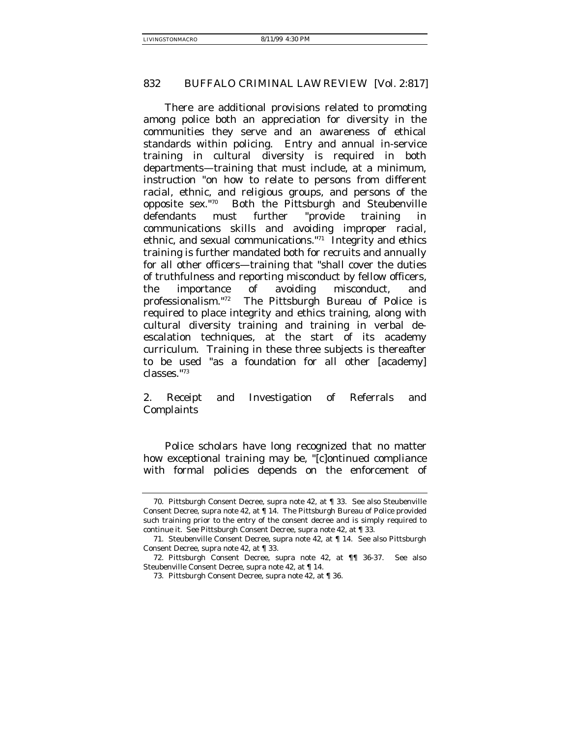There are additional provisions related to promoting among police both an appreciation for diversity in the communities they serve and an awareness of ethical standards within policing. Entry and annual in-service training in cultural diversity is required in both departments—training that must include, at a minimum, instruction "on how to relate to persons from different racial, ethnic, and religious groups, and persons of the opposite sex."70 Both the Pittsburgh and Steubenville defendants must further "provide training in communications skills and avoiding improper racial, ethnic, and sexual communications."71 Integrity and ethics training is further mandated both for recruits and annually for all other officers—training that "shall cover the duties of truthfulness and reporting misconduct by fellow officers, the importance of avoiding misconduct, and professionalism."72 The Pittsburgh Bureau of Police is required to place integrity and ethics training, along with cultural diversity training and training in verbal deescalation techniques, at the start of its academy curriculum. Training in these three subjects is thereafter to be used "as a foundation for all other [academy] classes."73

2. Receipt and Investigation of Referrals and Complaints

Police scholars have long recognized that no matter how exceptional training may be, "[c]ontinued compliance with formal policies depends on the enforcement of

<sup>70.</sup> Pittsburgh Consent Decree, supra note 42, at ¶ 33. See also Steubenville Consent Decree, supra note 42, at ¶ 14. The Pittsburgh Bureau of Police provided such training prior to the entry of the consent decree and is simply required to continue it. See Pittsburgh Consent Decree, supra note 42, at ¶ 33.

<sup>71.</sup> Steubenville Consent Decree, supra note 42, at ¶ 14. See also Pittsburgh Consent Decree, supra note 42, at ¶ 33.

<sup>72.</sup> Pittsburgh Consent Decree, supra note 42, at ¶¶ 36-37. See also Steubenville Consent Decree, supra note 42, at ¶ 14.

<sup>73.</sup> Pittsburgh Consent Decree, supra note 42, at ¶ 36.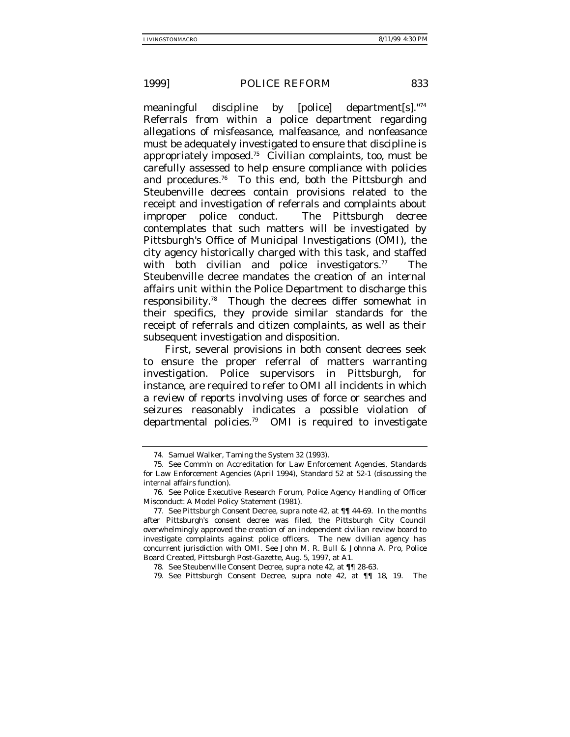meaningful discipline by [police] department[s]."74 Referrals from within a police department regarding allegations of misfeasance, malfeasance, and nonfeasance must be adequately investigated to ensure that discipline is appropriately imposed.75 Civilian complaints, too, must be carefully assessed to help ensure compliance with policies and procedures.76 To this end, both the Pittsburgh and Steubenville decrees contain provisions related to the receipt and investigation of referrals and complaints about improper police conduct. The Pittsburgh decree contemplates that such matters will be investigated by Pittsburgh's Office of Municipal Investigations (OMI), the city agency historically charged with this task, and staffed with both civilian and police investigators.<sup>77</sup> The Steubenville decree mandates the creation of an internal affairs unit within the Police Department to discharge this responsibility.78 Though the decrees differ somewhat in their specifics, they provide similar standards for the receipt of referrals and citizen complaints, as well as their subsequent investigation and disposition.

First, several provisions in both consent decrees seek to ensure the proper referral of matters warranting investigation. Police supervisors in Pittsburgh, for instance, are required to refer to OMI all incidents in which a review of reports involving uses of force or searches and seizures reasonably indicates a possible violation of departmental policies.79 OMI is required to investigate

<sup>74.</sup> Samuel Walker, Taming the System 32 (1993).

<sup>75.</sup> See Comm'n on Accreditation for Law Enforcement Agencies, Standards for Law Enforcement Agencies (April 1994), Standard 52 at 52-1 (discussing the internal affairs function).

<sup>76.</sup> See Police Executive Research Forum, Police Agency Handling of Officer Misconduct: A Model Policy Statement (1981).

<sup>77.</sup> See Pittsburgh Consent Decree, supra note 42, at ¶¶ 44-69. In the months after Pittsburgh's consent decree was filed, the Pittsburgh City Council overwhelmingly approved the creation of an independent civilian review board to investigate complaints against police officers. The new civilian agency has concurrent jurisdiction with OMI. See John M. R. Bull & Johnna A. Pro, Police Board Created, Pittsburgh Post-Gazette, Aug. 5, 1997, at A1.

<sup>78.</sup> See Steubenville Consent Decree, supra note 42, at ¶¶ 28-63.

<sup>79.</sup> See Pittsburgh Consent Decree, supra note 42, at ¶¶ 18, 19. The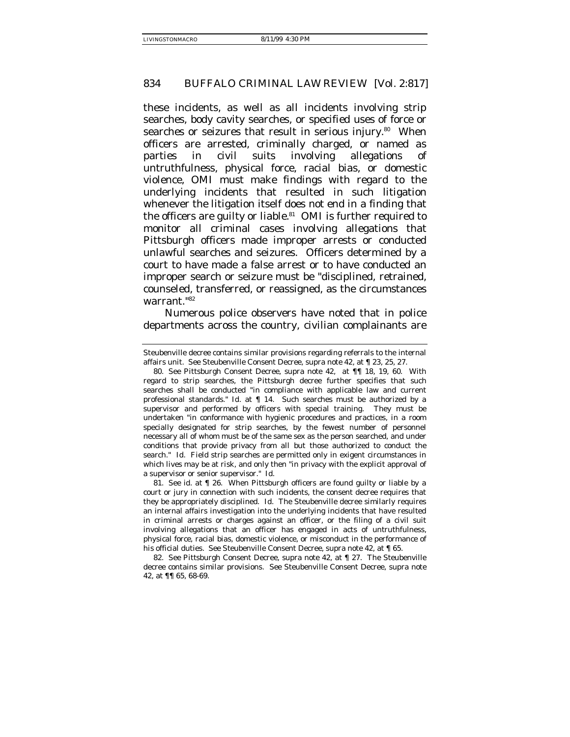these incidents, as well as all incidents involving strip searches, body cavity searches, or specified uses of force or searches or seizures that result in serious injury.<sup>80</sup> When officers are arrested, criminally charged, or named as parties in civil suits involving allegations of untruthfulness, physical force, racial bias, or domestic violence, OMI must make findings with regard to the underlying incidents that resulted in such litigation whenever the litigation itself does not end in a finding that the officers are guilty or liable.<sup>81</sup> OMI is further required to monitor all criminal cases involving allegations that Pittsburgh officers made improper arrests or conducted unlawful searches and seizures. Officers determined by a court to have made a false arrest or to have conducted an improper search or seizure must be "disciplined, retrained, counseled, transferred, or reassigned, as the circumstances warrant."82

Numerous police observers have noted that in police departments across the country, civilian complainants are

Steubenville decree contains similar provisions regarding referrals to the internal affairs unit. See Steubenville Consent Decree, supra note 42, at ¶ 23, 25, 27.

<sup>80.</sup> See Pittsburgh Consent Decree, supra note 42, at ¶¶ 18, 19, 60. With regard to strip searches, the Pittsburgh decree further specifies that such searches shall be conducted "in compliance with applicable law and current professional standards." Id. at ¶ 14. Such searches must be authorized by a supervisor and performed by officers with special training. They must be undertaken "in conformance with hygienic procedures and practices, in a room specially designated for strip searches, by the fewest number of personnel necessary all of whom must be of the same sex as the person searched, and under conditions that provide privacy from all but those authorized to conduct the search." Id. Field strip searches are permitted only in exigent circumstances in which lives may be at risk, and only then "in privacy with the explicit approval of a supervisor or senior supervisor." Id.

<sup>81.</sup> See id. at ¶ 26. When Pittsburgh officers are found guilty or liable by a court or jury in connection with such incidents, the consent decree requires that they be appropriately disciplined. Id. The Steubenville decree similarly requires an internal affairs investigation into the underlying incidents that have resulted in criminal arrests or charges against an officer, or the filing of a civil suit involving allegations that an officer has engaged in acts of untruthfulness, physical force, racial bias, domestic violence, or misconduct in the performance of his official duties. See Steubenville Consent Decree, supra note 42, at ¶ 65.

<sup>82.</sup> See Pittsburgh Consent Decree, supra note 42, at ¶ 27. The Steubenville decree contains similar provisions. See Steubenville Consent Decree, supra note 42, at ¶¶ 65, 68-69.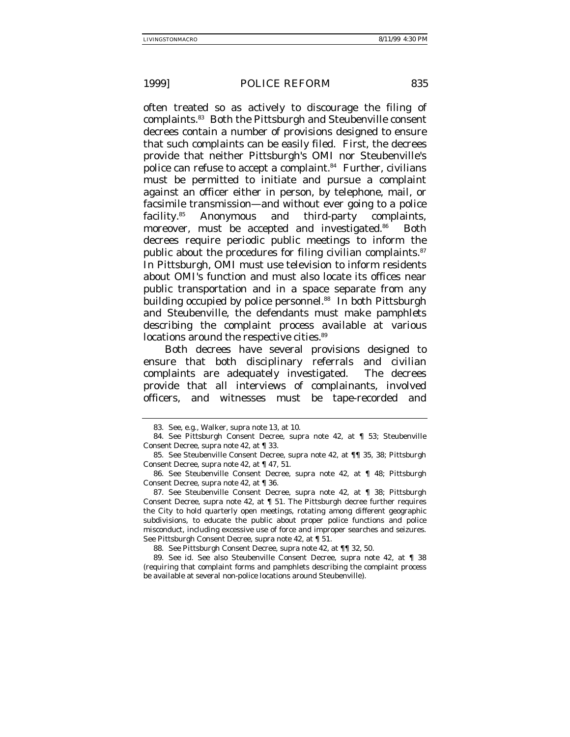often treated so as actively to discourage the filing of complaints.83 Both the Pittsburgh and Steubenville consent decrees contain a number of provisions designed to ensure that such complaints can be easily filed. First, the decrees provide that neither Pittsburgh's OMI nor Steubenville's police can refuse to accept a complaint.<sup>84</sup> Further, civilians must be permitted to initiate and pursue a complaint against an officer either in person, by telephone, mail, or facsimile transmission—and without ever going to a police facility.85 Anonymous and third-party complaints, moreover, must be accepted and investigated.<sup>86</sup> Both decrees require periodic public meetings to inform the public about the procedures for filing civilian complaints.<sup>87</sup> In Pittsburgh, OMI must use television to inform residents about OMI's function and must also locate its offices near public transportation and in a space separate from any building occupied by police personnel.<sup>88</sup> In both Pittsburgh and Steubenville, the defendants must make pamphlets describing the complaint process available at various locations around the respective cities.<sup>89</sup>

Both decrees have several provisions designed to ensure that both disciplinary referrals and civilian complaints are adequately investigated. The decrees provide that all interviews of complainants, involved officers, and witnesses must be tape-recorded and

88. See Pittsburgh Consent Decree, supra note 42, at ¶¶ 32, 50.

<sup>83.</sup> See, e.g., Walker, supra note 13, at 10.

<sup>84.</sup> See Pittsburgh Consent Decree, supra note 42, at ¶ 53; Steubenville Consent Decree, supra note 42, at ¶ 33.

<sup>85.</sup> See Steubenville Consent Decree, supra note 42, at ¶¶ 35, 38; Pittsburgh Consent Decree, supra note 42, at ¶ 47, 51.

<sup>86.</sup> See Steubenville Consent Decree, supra note 42, at ¶ 48; Pittsburgh Consent Decree, supra note 42, at ¶ 36.

<sup>87.</sup> See Steubenville Consent Decree, supra note 42, at ¶ 38; Pittsburgh Consent Decree, supra note 42, at ¶ 51. The Pittsburgh decree further requires the City to hold quarterly open meetings, rotating among different geographic subdivisions, to educate the public about proper police functions and police misconduct, including excessive use of force and improper searches and seizures. See Pittsburgh Consent Decree, supra note 42, at ¶ 51.

<sup>89.</sup> See id. See also Steubenville Consent Decree, supra note 42, at ¶ 38 (requiring that complaint forms and pamphlets describing the complaint process be available at several non-police locations around Steubenville).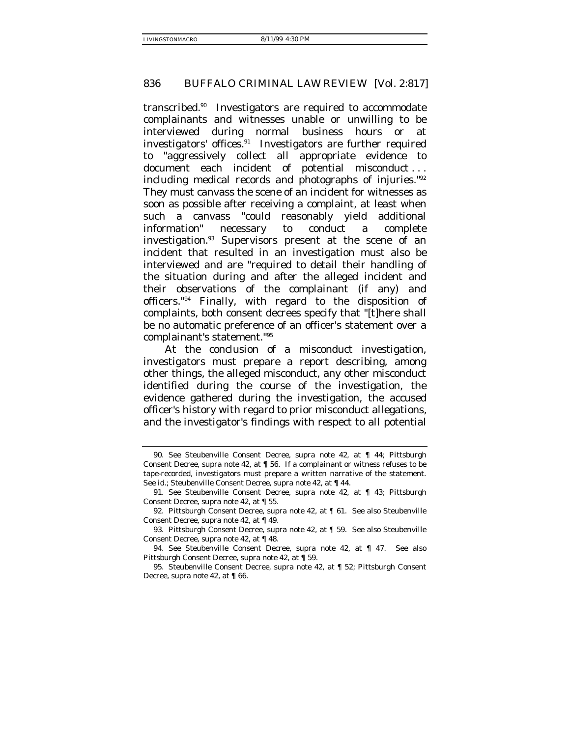transcribed.90 Investigators are required to accommodate complainants and witnesses unable or unwilling to be interviewed during normal business hours or at investigators' offices.91 Investigators are further required to "aggressively collect all appropriate evidence to document each incident of potential misconduct . . . including medical records and photographs of injuries."92 They must canvass the scene of an incident for witnesses as soon as possible after receiving a complaint, at least when such a canvass "could reasonably yield additional information" necessary to conduct a complete investigation.93 Supervisors present at the scene of an incident that resulted in an investigation must also be interviewed and are "required to detail their handling of the situation during and after the alleged incident and their observations of the complainant (if any) and officers."94 Finally, with regard to the disposition of complaints, both consent decrees specify that "[t]here shall be no automatic preference of an officer's statement over a complainant's statement."95

At the conclusion of a misconduct investigation, investigators must prepare a report describing, among other things, the alleged misconduct, any other misconduct identified during the course of the investigation, the evidence gathered during the investigation, the accused officer's history with regard to prior misconduct allegations, and the investigator's findings with respect to all potential

94. See Steubenville Consent Decree, supra note 42, at ¶ 47. See also Pittsburgh Consent Decree, supra note 42, at ¶ 59.

<sup>90.</sup> See Steubenville Consent Decree, supra note 42, at ¶ 44; Pittsburgh Consent Decree, supra note 42, at ¶ 56. If a complainant or witness refuses to be tape-recorded, investigators must prepare a written narrative of the statement. See id.; Steubenville Consent Decree, supra note 42, at ¶ 44.

<sup>91.</sup> See Steubenville Consent Decree, supra note 42, at ¶ 43; Pittsburgh Consent Decree, supra note 42, at ¶ 55.

<sup>92.</sup> Pittsburgh Consent Decree, supra note 42, at ¶ 61. See also Steubenville Consent Decree, supra note 42, at ¶ 49.

<sup>93.</sup> Pittsburgh Consent Decree, supra note 42, at ¶ 59. See also Steubenville Consent Decree, supra note 42, at ¶ 48.

<sup>95.</sup> Steubenville Consent Decree, supra note 42, at ¶ 52; Pittsburgh Consent Decree, supra note 42, at ¶ 66.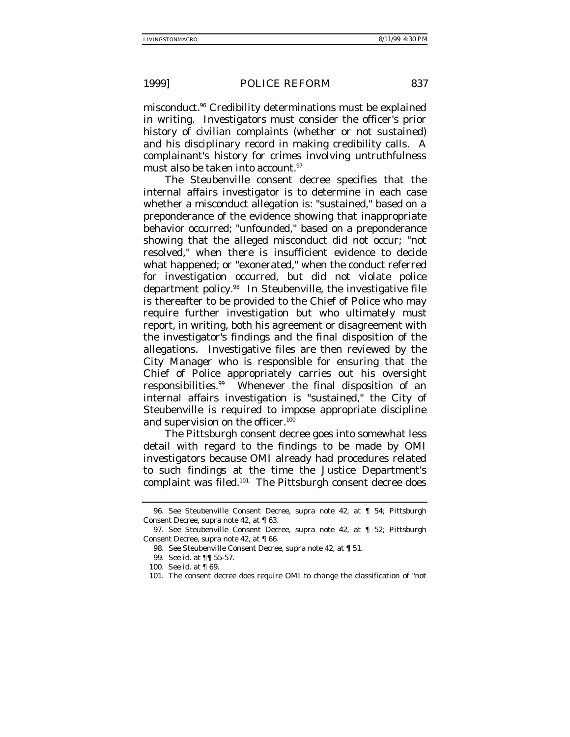misconduct.96 Credibility determinations must be explained in writing. Investigators must consider the officer's prior history of civilian complaints (whether or not sustained) and his disciplinary record in making credibility calls. A complainant's history for crimes involving untruthfulness must also be taken into account.<sup>97</sup>

The Steubenville consent decree specifies that the internal affairs investigator is to determine in each case whether a misconduct allegation is: "sustained," based on a preponderance of the evidence showing that inappropriate behavior occurred; "unfounded," based on a preponderance showing that the alleged misconduct did not occur; "not resolved," when there is insufficient evidence to decide what happened; or "exonerated," when the conduct referred for investigation occurred, but did not violate police department policy.98 In Steubenville, the investigative file is thereafter to be provided to the Chief of Police who may require further investigation but who ultimately must report, in writing, both his agreement or disagreement with the investigator's findings and the final disposition of the allegations. Investigative files are then reviewed by the City Manager who is responsible for ensuring that the Chief of Police appropriately carries out his oversight responsibilities.99 Whenever the final disposition of an internal affairs investigation is "sustained," the City of Steubenville is required to impose appropriate discipline and supervision on the officer.<sup>100</sup>

The Pittsburgh consent decree goes into somewhat less detail with regard to the findings to be made by OMI investigators because OMI already had procedures related to such findings at the time the Justice Department's complaint was filed.101 The Pittsburgh consent decree does

<sup>96.</sup> See Steubenville Consent Decree, supra note 42, at ¶ 54; Pittsburgh Consent Decree, supra note 42, at ¶ 63.

<sup>97.</sup> See Steubenville Consent Decree, supra note 42, at ¶ 52; Pittsburgh Consent Decree, supra note 42, at ¶ 66.

<sup>98.</sup> See Steubenville Consent Decree, supra note 42, at ¶ 51.

<sup>99.</sup> See id. at ¶¶ 55-57.

<sup>100.</sup> See id. at ¶ 69.

<sup>101.</sup> The consent decree does require OMI to change the classification of "not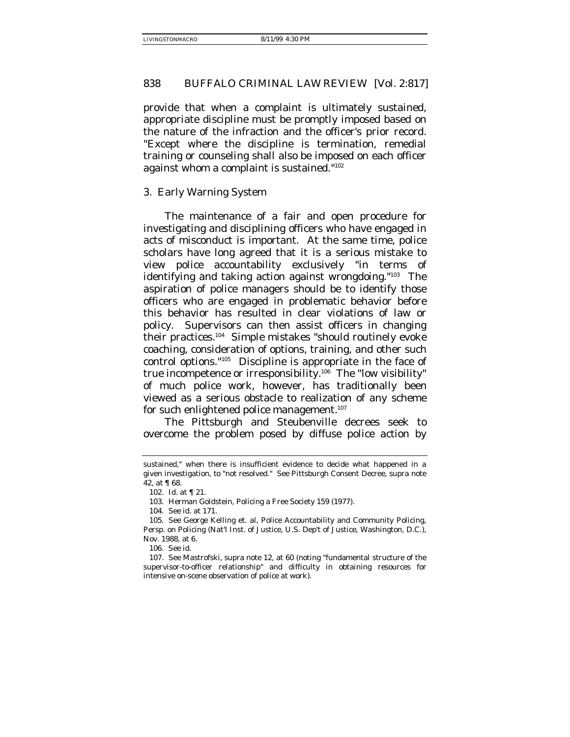provide that when a complaint is ultimately sustained, appropriate discipline must be promptly imposed based on the nature of the infraction and the officer's prior record. "Except where the discipline is termination, remedial training or counseling shall also be imposed on each officer against whom a complaint is sustained."102

## 3. Early Warning System

The maintenance of a fair and open procedure for investigating and disciplining officers who have engaged in acts of misconduct is important. At the same time, police scholars have long agreed that it is a serious mistake to view police accountability exclusively "in terms of identifying and taking action against wrongdoing."103 The aspiration of police managers should be to identify those officers who are engaged in problematic behavior before this behavior has resulted in clear violations of law or policy. Supervisors can then assist officers in changing their practices.104 Simple mistakes "should routinely evoke coaching, consideration of options, training, and other such control options."105 Discipline is appropriate in the face of true incompetence or irresponsibility.106 The "low visibility" of much police work, however, has traditionally been viewed as a serious obstacle to realization of any scheme for such enlightened police management.<sup>107</sup>

The Pittsburgh and Steubenville decrees seek to overcome the problem posed by diffuse police action by

sustained," when there is insufficient evidence to decide what happened in a given investigation, to "not resolved." See Pittsburgh Consent Decree, supra note 42, at ¶ 68.

<sup>102.</sup> Id. at ¶ 21.

<sup>103.</sup> Herman Goldstein, Policing a Free Society 159 (1977).

<sup>104.</sup> See id. at 171.

<sup>105.</sup> See George Kelling et. al, Police Accountability and Community Policing, Persp. on Policing (Nat'l Inst. of Justice, U.S. Dep't of Justice, Washington, D.C.), Nov. 1988, at 6.

<sup>106.</sup> See id.

<sup>107.</sup> See Mastrofski, supra note 12, at 60 (noting "fundamental structure of the supervisor-to-officer relationship" and difficulty in obtaining resources for intensive on-scene observation of police at work).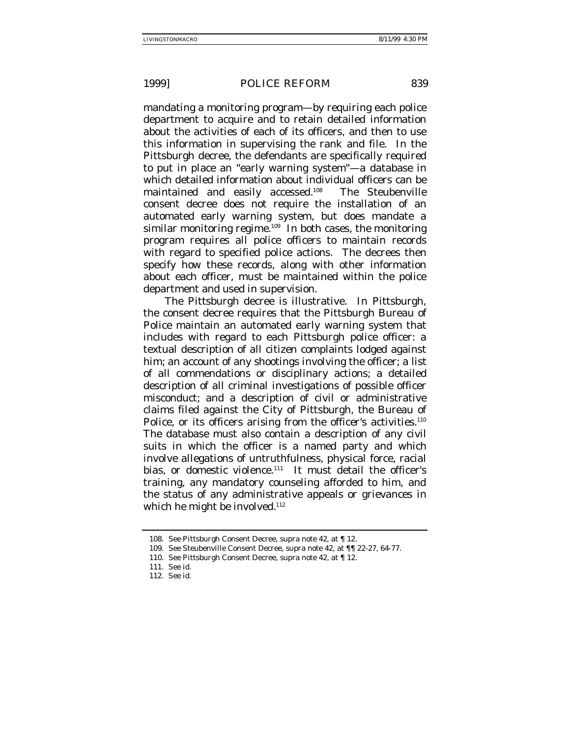mandating a monitoring program—by requiring each police department to acquire and to retain detailed information about the activities of each of its officers, and then to use this information in supervising the rank and file. In the Pittsburgh decree, the defendants are specifically required to put in place an "early warning system"—a database in which detailed information about individual officers can be maintained and easily accessed.<sup>108</sup> The Steubenville consent decree does not require the installation of an automated early warning system, but does mandate a similar monitoring regime.<sup>109</sup> In both cases, the monitoring program requires all police officers to maintain records with regard to specified police actions. The decrees then specify how these records, along with other information about each officer, must be maintained within the police department and used in supervision.

The Pittsburgh decree is illustrative. In Pittsburgh, the consent decree requires that the Pittsburgh Bureau of Police maintain an automated early warning system that includes with regard to each Pittsburgh police officer: a textual description of all citizen complaints lodged against him; an account of any shootings involving the officer; a list of all commendations or disciplinary actions; a detailed description of all criminal investigations of possible officer misconduct; and a description of civil or administrative claims filed against the City of Pittsburgh, the Bureau of Police, or its officers arising from the officer's activities.<sup>110</sup> The database must also contain a description of any civil suits in which the officer is a named party and which involve allegations of untruthfulness, physical force, racial bias, or domestic violence.<sup>111</sup> It must detail the officer's training, any mandatory counseling afforded to him, and the status of any administrative appeals or grievances in which he might be involved.<sup>112</sup>

<sup>108.</sup> See Pittsburgh Consent Decree, supra note 42, at ¶ 12.

<sup>109.</sup> See Steubenville Consent Decree, supra note 42, at ¶¶ 22-27, 64-77.

<sup>110.</sup> See Pittsburgh Consent Decree, supra note 42, at ¶ 12.

<sup>111.</sup> See id.

<sup>112.</sup> See id.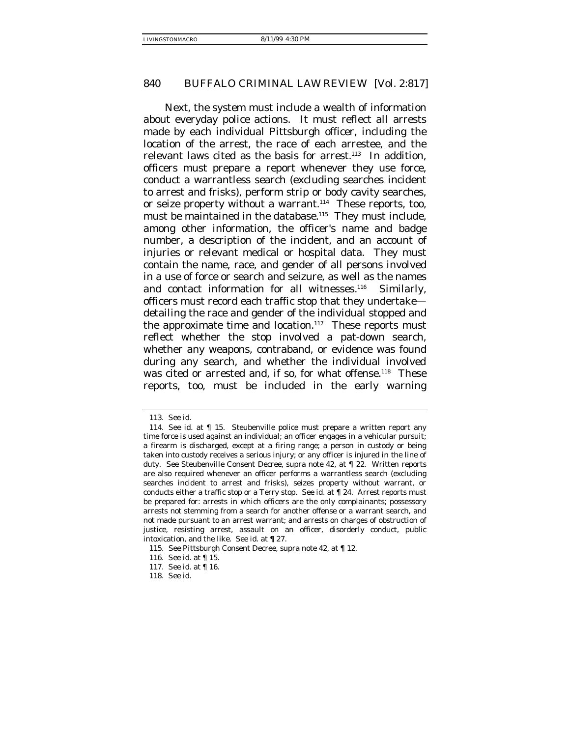Next, the system must include a wealth of information about everyday police actions. It must reflect all arrests made by each individual Pittsburgh officer, including the location of the arrest, the race of each arrestee, and the relevant laws cited as the basis for arrest.<sup>113</sup> In addition, officers must prepare a report whenever they use force, conduct a warrantless search (excluding searches incident to arrest and frisks), perform strip or body cavity searches, or seize property without a warrant.<sup>114</sup> These reports, too, must be maintained in the database.<sup>115</sup> They must include, among other information, the officer's name and badge number, a description of the incident, and an account of injuries or relevant medical or hospital data. They must contain the name, race, and gender of all persons involved in a use of force or search and seizure, as well as the names and contact information for all witnesses.<sup>116</sup> Similarly, officers must record each traffic stop that they undertake detailing the race and gender of the individual stopped and the approximate time and location. $117$  These reports must reflect whether the stop involved a pat-down search, whether any weapons, contraband, or evidence was found during any search, and whether the individual involved was cited or arrested and, if so, for what offense.<sup>118</sup> These reports, too, must be included in the early warning

<sup>113.</sup> See id.

<sup>114.</sup> See id. at ¶ 15. Steubenville police must prepare a written report any time force is used against an individual; an officer engages in a vehicular pursuit; a firearm is discharged, except at a firing range; a person in custody or being taken into custody receives a serious injury; or any officer is injured in the line of duty. See Steubenville Consent Decree, supra note 42, at ¶ 22. Written reports are also required whenever an officer performs a warrantless search (excluding searches incident to arrest and frisks), seizes property without warrant, or conducts either a traffic stop or a Terry stop. See id. at ¶ 24. Arrest reports must be prepared for: arrests in which officers are the only complainants; possessory arrests not stemming from a search for another offense or a warrant search, and not made pursuant to an arrest warrant; and arrests on charges of obstruction of justice, resisting arrest, assault on an officer, disorderly conduct, public intoxication, and the like. See id. at ¶ 27.

<sup>115.</sup> See Pittsburgh Consent Decree, supra note 42, at ¶ 12.

<sup>116.</sup> See id. at ¶ 15.

<sup>117.</sup> See id. at ¶ 16.

<sup>118.</sup> See id.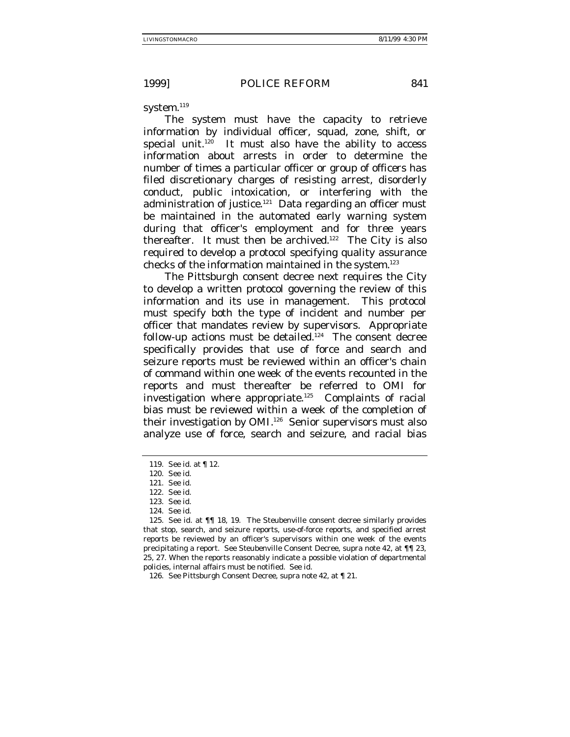system.<sup>119</sup>

The system must have the capacity to retrieve information by individual officer, squad, zone, shift, or special unit.<sup>120</sup> It must also have the ability to access information about arrests in order to determine the number of times a particular officer or group of officers has filed discretionary charges of resisting arrest, disorderly conduct, public intoxication, or interfering with the administration of justice.<sup>121</sup> Data regarding an officer must be maintained in the automated early warning system during that officer's employment and for three years thereafter. It must then be archived.<sup>122</sup> The City is also required to develop a protocol specifying quality assurance checks of the information maintained in the system.123

The Pittsburgh consent decree next requires the City to develop a written protocol governing the review of this information and its use in management. This protocol must specify both the type of incident and number per officer that mandates review by supervisors. Appropriate follow-up actions must be detailed.<sup>124</sup> The consent decree specifically provides that use of force and search and seizure reports must be reviewed within an officer's chain of command within one week of the events recounted in the reports and must thereafter be referred to OMI for investigation where appropriate.125 Complaints of racial bias must be reviewed within a week of the completion of their investigation by OMI.<sup>126</sup> Senior supervisors must also analyze use of force, search and seizure, and racial bias

<sup>119.</sup> See id. at ¶ 12.

<sup>120.</sup> See id.

<sup>121.</sup> See id.

<sup>122.</sup> See id.

<sup>123.</sup> See id.

<sup>124.</sup> See id.

<sup>125.</sup> See id. at ¶¶ 18, 19. The Steubenville consent decree similarly provides that stop, search, and seizure reports, use-of-force reports, and specified arrest reports be reviewed by an officer's supervisors within one week of the events precipitating a report. See Steubenville Consent Decree, supra note 42, at ¶¶ 23, 25, 27. When the reports reasonably indicate a possible violation of departmental policies, internal affairs must be notified. See id.

<sup>126.</sup> See Pittsburgh Consent Decree, supra note 42, at ¶ 21.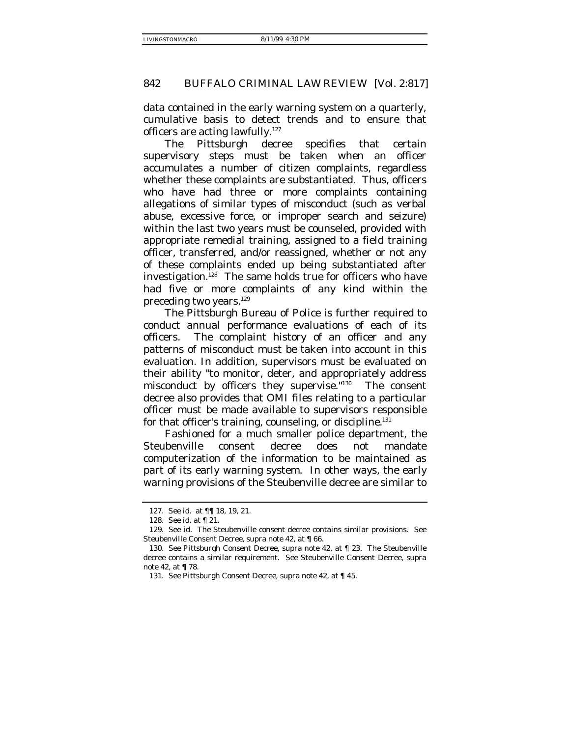data contained in the early warning system on a quarterly, cumulative basis to detect trends and to ensure that officers are acting lawfully.<sup>127</sup>

The Pittsburgh decree specifies that certain supervisory steps must be taken when an officer accumulates a number of citizen complaints, regardless whether these complaints are substantiated. Thus, officers who have had three or more complaints containing allegations of similar types of misconduct (such as verbal abuse, excessive force, or improper search and seizure) within the last two years must be counseled, provided with appropriate remedial training, assigned to a field training officer, transferred, and/or reassigned, whether or not any of these complaints ended up being substantiated after investigation. $128$  The same holds true for officers who have had five or more complaints of any kind within the preceding two years.129

The Pittsburgh Bureau of Police is further required to conduct annual performance evaluations of each of its officers. The complaint history of an officer and any patterns of misconduct must be taken into account in this evaluation. In addition, supervisors must be evaluated on their ability "to monitor, deter, and appropriately address misconduct by officers they supervise."130 The consent decree also provides that OMI files relating to a particular officer must be made available to supervisors responsible for that officer's training, counseling, or discipline.<sup>131</sup>

Fashioned for a much smaller police department, the Steubenville consent decree does not mandate computerization of the information to be maintained as part of its early warning system. In other ways, the early warning provisions of the Steubenville decree are similar to

<sup>127.</sup> See id. at ¶¶ 18, 19, 21.

<sup>128.</sup> See id. at ¶ 21.

<sup>129.</sup> See id. The Steubenville consent decree contains similar provisions. See Steubenville Consent Decree, supra note 42, at ¶ 66.

<sup>130.</sup> See Pittsburgh Consent Decree, supra note 42, at ¶ 23. The Steubenville decree contains a similar requirement. See Steubenville Consent Decree, supra note 42, at ¶ 78.

<sup>131.</sup> See Pittsburgh Consent Decree, supra note 42, at ¶ 45.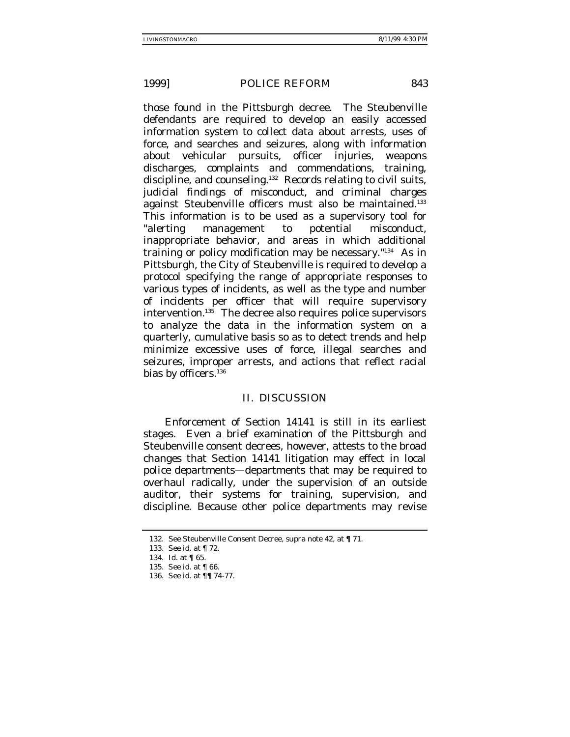those found in the Pittsburgh decree. The Steubenville defendants are required to develop an easily accessed information system to collect data about arrests, uses of force, and searches and seizures, along with information about vehicular pursuits, officer injuries, weapons discharges, complaints and commendations, training, discipline, and counseling.132 Records relating to civil suits, judicial findings of misconduct, and criminal charges against Steubenville officers must also be maintained.<sup>133</sup> This information is to be used as a supervisory tool for "alerting management to potential misconduct, inappropriate behavior, and areas in which additional training or policy modification may be necessary."134 As in Pittsburgh, the City of Steubenville is required to develop a protocol specifying the range of appropriate responses to various types of incidents, as well as the type and number of incidents per officer that will require supervisory intervention.135 The decree also requires police supervisors to analyze the data in the information system on a quarterly, cumulative basis so as to detect trends and help minimize excessive uses of force, illegal searches and seizures, improper arrests, and actions that reflect racial bias by officers.<sup>136</sup>

#### II. DISCUSSION

Enforcement of Section 14141 is still in its earliest stages. Even a brief examination of the Pittsburgh and Steubenville consent decrees, however, attests to the broad changes that Section 14141 litigation may effect in local police departments—departments that may be required to overhaul radically, under the supervision of an outside auditor, their systems for training, supervision, and discipline. Because other police departments may revise

<sup>132.</sup> See Steubenville Consent Decree, supra note 42, at ¶ 71.

<sup>133.</sup> See id. at ¶ 72.

<sup>134.</sup> Id. at ¶ 65.

<sup>135.</sup> See id. at ¶ 66.

<sup>136.</sup> See id. at ¶¶ 74-77.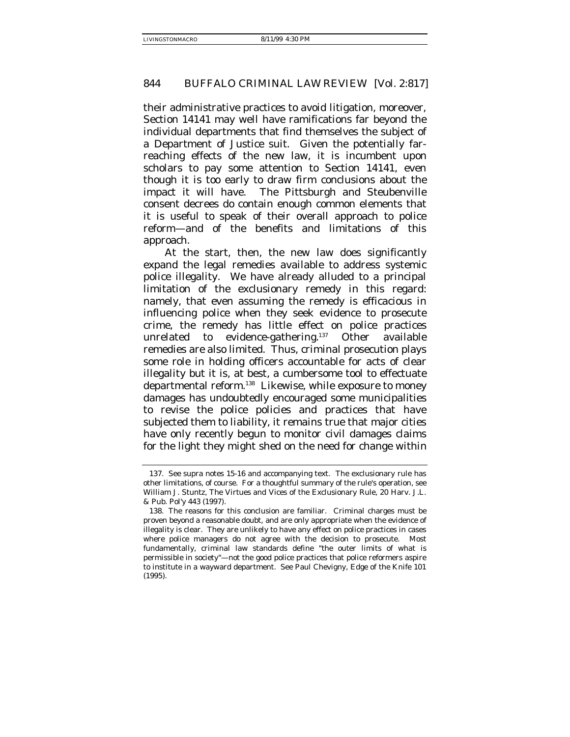their administrative practices to avoid litigation, moreover, Section 14141 may well have ramifications far beyond the individual departments that find themselves the subject of a Department of Justice suit. Given the potentially farreaching effects of the new law, it is incumbent upon scholars to pay some attention to Section 14141, even though it is too early to draw firm conclusions about the impact it will have. The Pittsburgh and Steubenville consent decrees do contain enough common elements that it is useful to speak of their overall approach to police reform—and of the benefits and limitations of this approach.

At the start, then, the new law does significantly expand the legal remedies available to address systemic police illegality. We have already alluded to a principal limitation of the exclusionary remedy in this regard: namely, that even assuming the remedy is efficacious in influencing police when they seek evidence to prosecute crime, the remedy has little effect on police practices unrelated to evidence-gathering.137 Other available remedies are also limited. Thus, criminal prosecution plays some role in holding officers accountable for acts of clear illegality but it is, at best, a cumbersome tool to effectuate departmental reform.138 Likewise, while exposure to money damages has undoubtedly encouraged some municipalities to revise the police policies and practices that have subjected them to liability, it remains true that major cities have only recently begun to monitor civil damages claims for the light they might shed on the need for change within

<sup>137.</sup> See supra notes 15-16 and accompanying text. The exclusionary rule has other limitations, of course. For a thoughtful summary of the rule's operation, see William J. Stuntz, The Virtues and Vices of the Exclusionary Rule, 20 Harv. J.L. & Pub. Pol'y 443 (1997).

<sup>138.</sup> The reasons for this conclusion are familiar. Criminal charges must be proven beyond a reasonable doubt, and are only appropriate when the evidence of illegality is clear. They are unlikely to have any effect on police practices in cases where police managers do not agree with the decision to prosecute. Most fundamentally, criminal law standards define "the outer limits of what is permissible in society"—not the good police practices that police reformers aspire to institute in a wayward department. See Paul Chevigny, Edge of the Knife 101 (1995).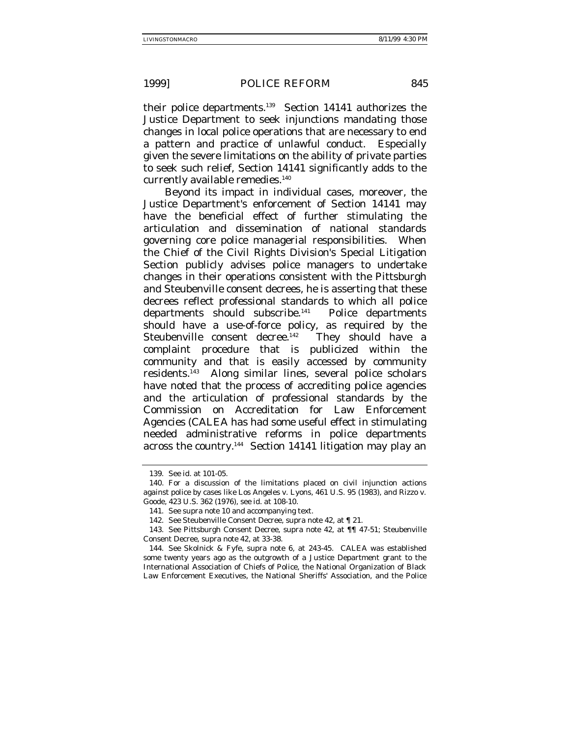their police departments.139 Section 14141 authorizes the Justice Department to seek injunctions *mandating* those changes in local police operations that are necessary to end a pattern and practice of unlawful conduct. Especially given the severe limitations on the ability of private parties to seek such relief, Section 14141 significantly adds to the currently available remedies.<sup>140</sup>

Beyond its impact in individual cases, moreover, the Justice Department's enforcement of Section 14141 may have the beneficial effect of further stimulating the articulation and dissemination of national standards governing core police managerial responsibilities. When the Chief of the Civil Rights Division's Special Litigation Section publicly advises police managers to undertake changes in their operations consistent with the Pittsburgh and Steubenville consent decrees, he is asserting that these decrees reflect professional standards to which all police departments should subscribe.<sup>141</sup> Police departments should have a use-of-force policy, as required by the Steubenville consent decree.<sup>142</sup> They should have a complaint procedure that is publicized within the community and that is easily accessed by community residents.143 Along similar lines, several police scholars have noted that the process of accrediting police agencies and the articulation of professional standards by the Commission on Accreditation for Law Enforcement Agencies (CALEA has had some useful effect in stimulating needed administrative reforms in police departments across the country.144 Section 14141 litigation may play an

<sup>139.</sup> See id. at 101-05.

<sup>140.</sup> For a discussion of the limitations placed on civil injunction actions against police by cases like Los Angeles v. Lyons, 461 U.S. 95 (1983), and Rizzo v. Goode, 423 U.S. 362 (1976), see id. at 108-10.

<sup>141.</sup> See supra note 10 and accompanying text.

<sup>142.</sup> See Steubenville Consent Decree, supra note 42, at ¶ 21.

<sup>143.</sup> See Pittsburgh Consent Decree, supra note 42, at ¶¶ 47-51; Steubenville Consent Decree, supra note 42, at 33-38.

<sup>144.</sup> See Skolnick & Fyfe, supra note 6, at 243-45. CALEA was established some twenty years ago as the outgrowth of a Justice Department grant to the International Association of Chiefs of Police, the National Organization of Black Law Enforcement Executives, the National Sheriffs' Association, and the Police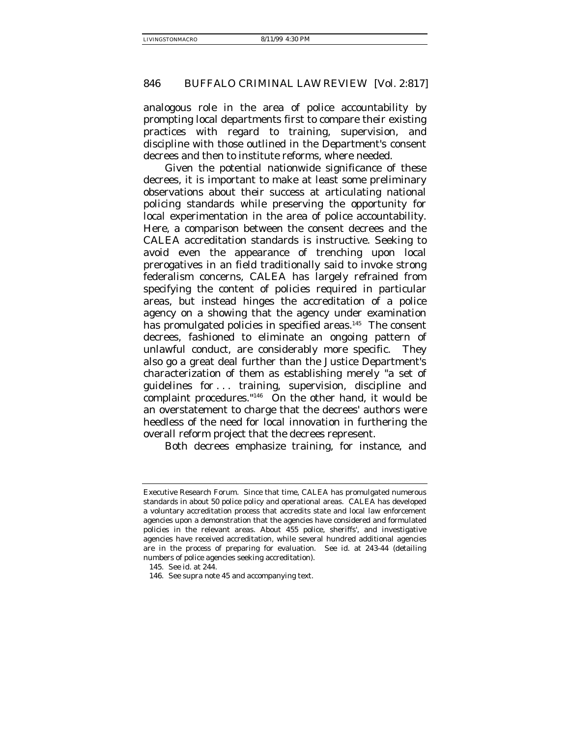analogous role in the area of police accountability by prompting local departments first to compare their existing practices with regard to training, supervision, and discipline with those outlined in the Department's consent decrees and then to institute reforms, where needed.

Given the potential nationwide significance of these decrees, it is important to make at least some preliminary observations about their success at articulating national policing standards while preserving the opportunity for local experimentation in the area of police accountability. Here, a comparison between the consent decrees and the CALEA accreditation standards is instructive. Seeking to avoid even the appearance of trenching upon local prerogatives in an field traditionally said to invoke strong federalism concerns, CALEA has largely refrained from specifying the content of policies required in particular areas, but instead hinges the accreditation of a police agency on a showing that the agency under examination has promulgated policies in specified areas.<sup>145</sup> The consent decrees, fashioned to eliminate an ongoing pattern of unlawful conduct, are considerably more specific. They also go a great deal further than the Justice Department's characterization of them as establishing merely "a set of guidelines for . . . training, supervision, discipline and complaint procedures."146 On the other hand, it would be an overstatement to charge that the decrees' authors were heedless of the need for local innovation in furthering the overall reform project that the decrees represent.

Both decrees emphasize training, for instance, and

Executive Research Forum. Since that time, CALEA has promulgated numerous standards in about 50 police policy and operational areas. CALEA has developed a voluntary accreditation process that accredits state and local law enforcement agencies upon a demonstration that the agencies have considered and formulated policies in the relevant areas. About 455 police, sheriffs', and investigative agencies have received accreditation, while several hundred additional agencies are in the process of preparing for evaluation. See id. at 243-44 (detailing numbers of police agencies seeking accreditation).

<sup>145.</sup> See id. at 244.

<sup>146.</sup> See supra note 45 and accompanying text.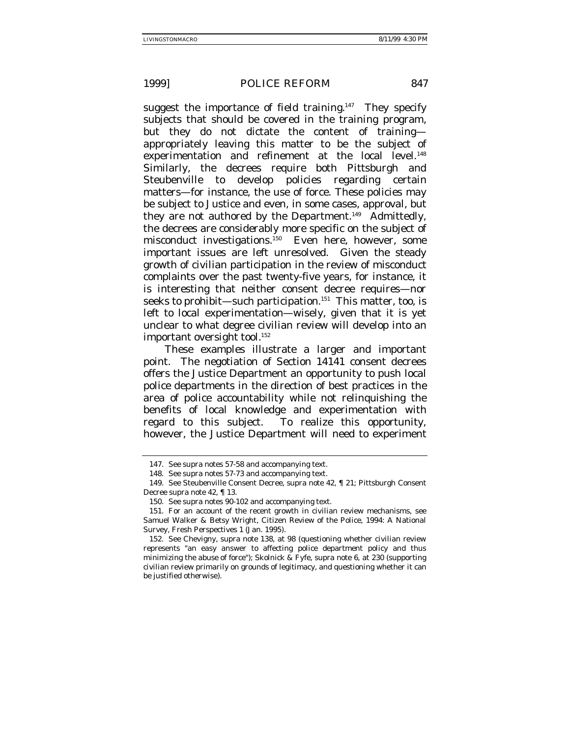suggest the importance of field training.<sup>147</sup> They specify subjects that should be covered in the training program, but they do not dictate the content of training appropriately leaving this matter to be the subject of experimentation and refinement at the local level.<sup>148</sup> Similarly, the decrees require both Pittsburgh and Steubenville to develop policies regarding certain matters—for instance, the use of force. These policies may be subject to Justice and even, in some cases, approval, but they are not authored by the Department.<sup>149</sup> Admittedly, the decrees are considerably more specific on the subject of misconduct investigations.<sup>150</sup> Even here, however, some important issues are left unresolved. Given the steady growth of civilian participation in the review of misconduct complaints over the past twenty-five years, for instance, it is interesting that neither consent decree requires—nor seeks to prohibit—such participation.<sup>151</sup> This matter, too, is left to local experimentation—wisely, given that it is yet unclear to what degree civilian review will develop into an important oversight tool.<sup>152</sup>

These examples illustrate a larger and important point. The negotiation of Section 14141 consent decrees offers the Justice Department an opportunity to push local police departments in the direction of best practices in the area of police accountability while not relinquishing the benefits of local knowledge and experimentation with regard to this subject. To realize this opportunity, however, the Justice Department will need to experiment

<sup>147.</sup> See supra notes 57-58 and accompanying text.

<sup>148.</sup> See supra notes 57-73 and accompanying text.

<sup>149.</sup> See Steubenville Consent Decree, supra note 42, ¶ 21; Pittsburgh Consent Decree supra note 42, ¶ 13.

<sup>150.</sup> See supra notes 90-102 and accompanying text.

<sup>151.</sup> For an account of the recent growth in civilian review mechanisms, see Samuel Walker & Betsy Wright, Citizen Review of the Police, 1994: A National Survey, Fresh Perspectives 1 (Jan. 1995).

<sup>152.</sup> See Chevigny, supra note 138, at 98 (questioning whether civilian review represents "an easy answer to affecting police department policy and thus minimizing the abuse of force"); Skolnick & Fyfe, supra note 6, at 230 (supporting civilian review primarily on grounds of legitimacy, and questioning whether it can be justified otherwise).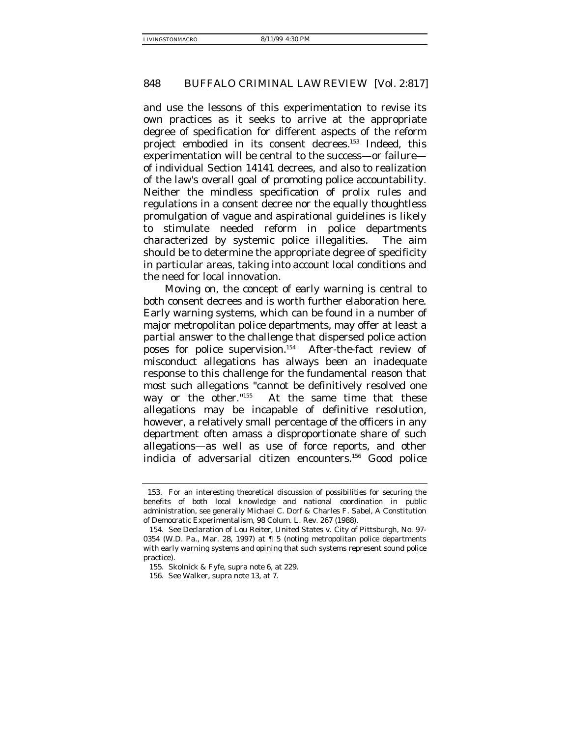and use the lessons of this experimentation to revise its own practices as it seeks to arrive at the appropriate degree of specification for different aspects of the reform project embodied in its consent decrees.153 Indeed, this experimentation will be central to the success—or failure of individual Section 14141 decrees, and also to realization of the law's overall goal of promoting police accountability. Neither the mindless specification of prolix rules and regulations in a consent decree nor the equally thoughtless promulgation of vague and aspirational guidelines is likely to stimulate needed reform in police departments characterized by systemic police illegalities. The aim should be to determine the appropriate degree of specificity in particular areas, taking into account local conditions and the need for local innovation.

Moving on, the concept of early warning is central to both consent decrees and is worth further elaboration here. Early warning systems, which can be found in a number of major metropolitan police departments, may offer at least a partial answer to the challenge that dispersed police action poses for police supervision.154 After-the-fact review of misconduct allegations has always been an inadequate response to this challenge for the fundamental reason that most such allegations "cannot be definitively resolved one way or the other."<sup>155</sup> At the same time that these allegations may be incapable of definitive resolution, however, a relatively small percentage of the officers in any department often amass a disproportionate share of such allegations—as well as use of force reports, and other indicia of adversarial citizen encounters.156 Good police

 <sup>153.</sup> For an interesting theoretical discussion of possibilities for securing the benefits of both local knowledge and national coordination in public administration, see generally Michael C. Dorf & Charles F. Sabel, A Constitution of Democratic Experimentalism, 98 Colum. L. Rev. 267 (1988).

<sup>154.</sup> See Declaration of Lou Reiter, United States v. City of Pittsburgh, No. 97- 0354 (W.D. Pa., Mar. 28, 1997) at ¶ 5 (noting metropolitan police departments with early warning systems and opining that such systems represent sound police practice).

<sup>155.</sup> Skolnick & Fyfe, supra note 6, at 229.

<sup>156.</sup> See Walker, supra note 13, at 7.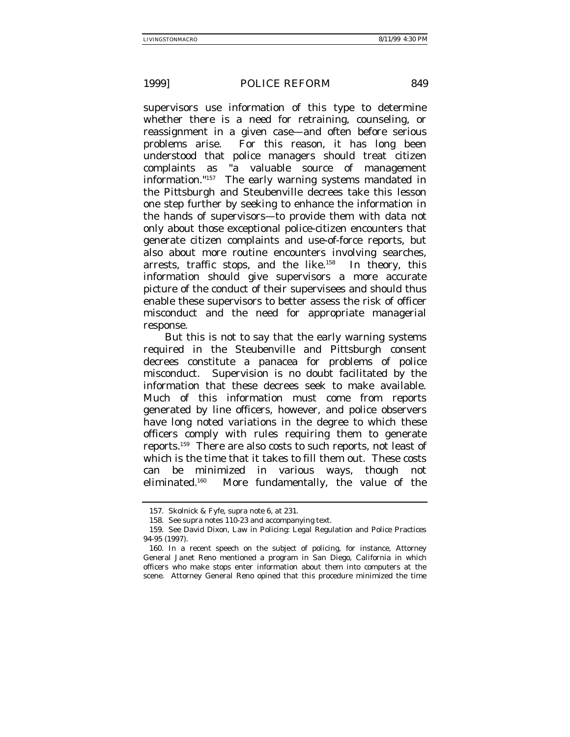supervisors use information of this type to determine whether there is a need for retraining, counseling, or reassignment in a given case—and often before serious problems arise. For this reason, it has long been understood that police managers should treat citizen complaints as "a valuable source of management information."157 The early warning systems mandated in the Pittsburgh and Steubenville decrees take this lesson one step further by seeking to enhance the information in the hands of supervisors—to provide them with data not only about those exceptional police-citizen encounters that generate citizen complaints and use-of-force reports, but also about more routine encounters involving searches, arrests, traffic stops, and the like.<sup>158</sup> In theory, this information should give supervisors a more accurate picture of the conduct of their supervisees and should thus enable these supervisors to better assess the risk of officer misconduct and the need for appropriate managerial response.

But this is not to say that the early warning systems required in the Steubenville and Pittsburgh consent decrees constitute a panacea for problems of police misconduct. Supervision is no doubt facilitated by the information that these decrees seek to make available. Much of this information must come from reports generated by line officers, however, and police observers have long noted variations in the degree to which these officers comply with rules requiring them to generate reports.159 There are also costs to such reports, not least of which is the time that it takes to fill them out. These costs can be minimized in various ways, though not eliminated.160 More fundamentally, the value of the

<sup>157.</sup> Skolnick & Fyfe, supra note 6, at 231.

<sup>158.</sup> See supra notes 110-23 and accompanying text.

<sup>159.</sup> See David Dixon, Law in Policing: Legal Regulation and Police Practices 94-95 (1997).

<sup>160.</sup> In a recent speech on the subject of policing, for instance, Attorney General Janet Reno mentioned a program in San Diego, California in which officers who make stops enter information about them into computers at the scene. Attorney General Reno opined that this procedure minimized the time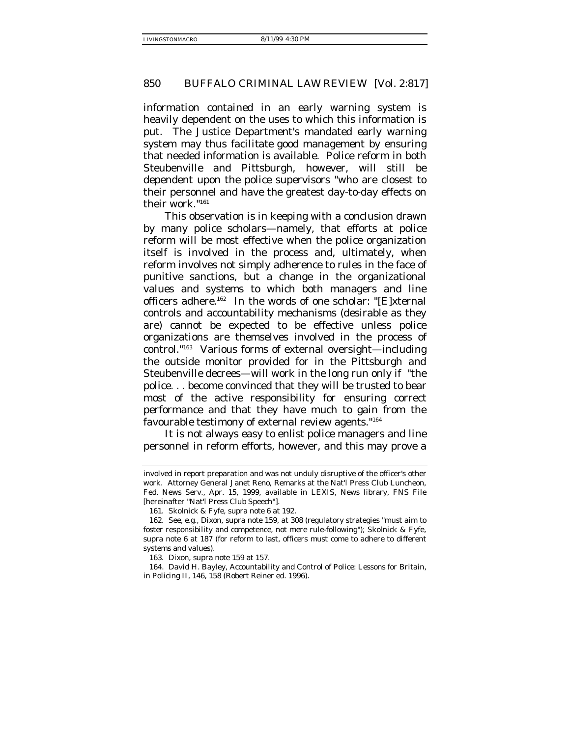information contained in an early warning system is heavily dependent on the uses to which this information is put. The Justice Department's mandated early warning system may thus *facilitate* good management by ensuring that needed information is available. Police reform in both Steubenville and Pittsburgh, however, will still be dependent upon the police supervisors "who are closest to their personnel and have the greatest day-to-day effects on their work."161

This observation is in keeping with a conclusion drawn by many police scholars—namely, that efforts at police reform will be most effective when the police organization itself is involved in the process and, ultimately, when reform involves not simply adherence to rules in the face of punitive sanctions, but a change in the organizational values and systems to which both managers and line officers adhere.<sup>162</sup> In the words of one scholar: "[E]xternal controls and accountability mechanisms (desirable as they are) cannot be expected to be effective unless police organizations are themselves involved in the process of control."163 Various forms of external oversight—including the outside monitor provided for in the Pittsburgh and Steubenville decrees—will work in the long run only if "the police. . . become convinced that they will be trusted to bear most of the active responsibility for ensuring correct performance and that they have much to gain from the favourable testimony of external review agents."164

It is not always easy to enlist police managers and line personnel in reform efforts, however, and this may prove a

involved in report preparation and was not unduly disruptive of the officer's other work. Attorney General Janet Reno, Remarks at the Nat'l Press Club Luncheon, Fed. News Serv., Apr. 15, 1999, available in LEXIS, News library, FNS File [hereinafter "Nat'l Press Club Speech"].

<sup>161.</sup> Skolnick & Fyfe, supra note 6 at 192.

<sup>162.</sup> See, e.g., Dixon, supra note 159, at 308 (regulatory strategies "must aim to foster responsibility and competence, not mere rule-following"); Skolnick & Fyfe, supra note 6 at 187 (for reform to last, officers must come to adhere to different systems and values).

<sup>163.</sup> Dixon, supra note 159 at 157.

<sup>164.</sup> David H. Bayley, Accountability and Control of Police: Lessons for Britain, in Policing II, 146, 158 (Robert Reiner ed. 1996).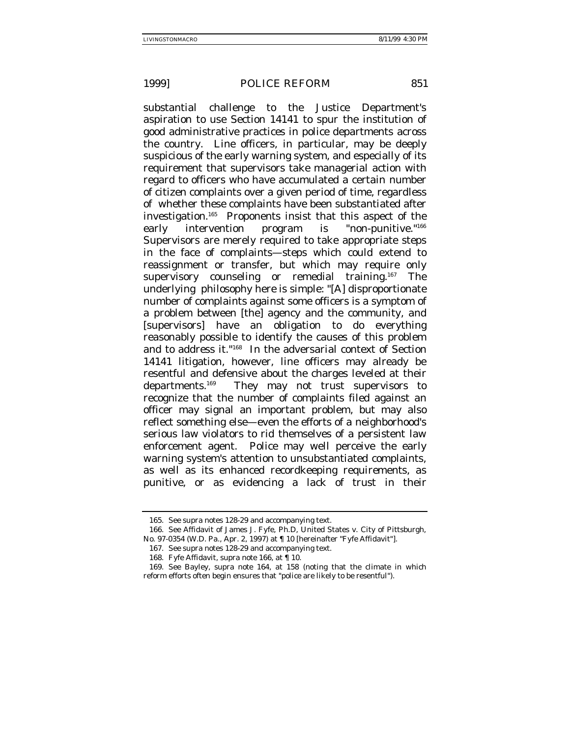substantial challenge to the Justice Department's aspiration to use Section 14141 to spur the institution of good administrative practices in police departments across the country. Line officers, in particular, may be deeply suspicious of the early warning system, and especially of its requirement that supervisors take managerial action with regard to officers who have accumulated a certain number of citizen complaints over a given period of time, regardless of whether these complaints have been substantiated after investigation.165 Proponents insist that this aspect of the early intervention program is "non-punitive."<sup>166</sup> Supervisors are merely required to take appropriate steps in the face of complaints—steps which could extend to reassignment or transfer, but which may require only supervisory counseling or remedial training.<sup>167</sup> The underlying philosophy here is simple: "[A] disproportionate number of complaints against some officers is a symptom of a problem between [the] agency and the community, and [supervisors] have an obligation to do everything reasonably possible to identify the causes of this problem and to address it."168 In the adversarial context of Section 14141 litigation, however, line officers may already be resentful and defensive about the charges leveled at their departments.169 They may not trust supervisors to recognize that the number of complaints filed against an officer may signal an important problem, but may also reflect something else—even the efforts of a neighborhood's serious law violators to rid themselves of a persistent law enforcement agent. Police may well perceive the early warning system's attention to unsubstantiated complaints, as well as its enhanced recordkeeping requirements, as punitive, or as evidencing a lack of trust in their

<sup>165.</sup> See supra notes 128-29 and accompanying text.

<sup>166.</sup> See Affidavit of James J. Fyfe, Ph.D, United States v. City of Pittsburgh, No. 97-0354 (W.D. Pa., Apr. 2, 1997) at ¶ 10 [hereinafter "Fyfe Affidavit"].

<sup>167.</sup> See supra notes 128-29 and accompanying text.

<sup>168.</sup> Fyfe Affidavit, supra note 166, at ¶ 10.

<sup>169.</sup> See Bayley, supra note 164, at 158 (noting that the climate in which reform efforts often begin ensures that "police are likely to be resentful").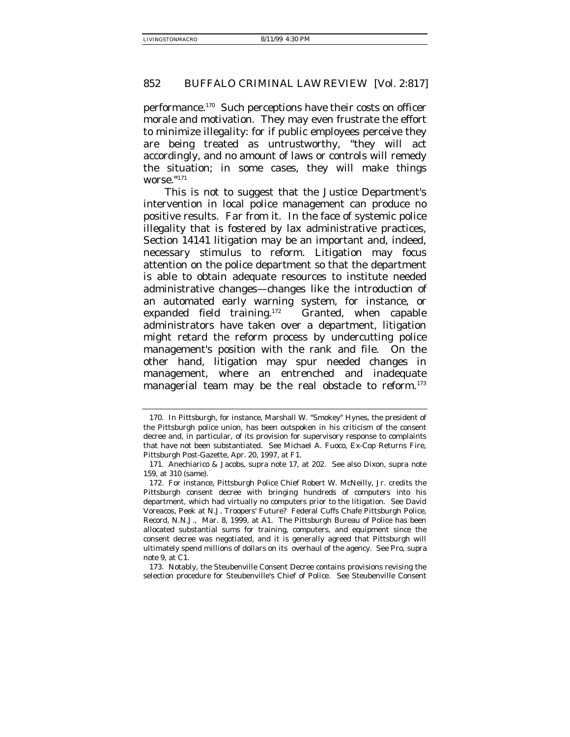performance.170 Such perceptions have their costs on officer morale and motivation. They may even frustrate the effort to minimize illegality: for if public employees perceive they are being treated as untrustworthy, "they will act accordingly, and no amount of laws or controls will remedy the situation; in some cases, they will make things worse."171

This is not to suggest that the Justice Department's intervention in local police management can produce no positive results. Far from it. In the face of systemic police illegality that is fostered by lax administrative practices, Section 14141 litigation may be an important and, indeed, necessary stimulus to reform. Litigation may focus attention on the police department so that the department is able to obtain adequate resources to institute needed administrative changes—changes like the introduction of an automated early warning system, for instance, or expanded field training.<sup>172</sup> Granted, when capable administrators have taken over a department, litigation might retard the reform process by undercutting police management's position with the rank and file. On the other hand, litigation may spur needed changes in management, where an entrenched and inadequate managerial team may be the real obstacle to reform.<sup>173</sup>

<sup>170.</sup> In Pittsburgh, for instance, Marshall W. "Smokey" Hynes, the president of the Pittsburgh police union, has been outspoken in his criticism of the consent decree and, in particular, of its provision for supervisory response to complaints that have not been substantiated. See Michael A. Fuoco, Ex-Cop Returns Fire, Pittsburgh Post-Gazette, Apr. 20, 1997, at F1.

<sup>171.</sup> Anechiarico & Jacobs, supra note 17, at 202. See also Dixon, supra note 159, at 310 (same).

<sup>172.</sup> For instance, Pittsburgh Police Chief Robert W. McNeilly, Jr. credits the Pittsburgh consent decree with bringing hundreds of computers into his department, which had virtually no computers prior to the litigation. See David Voreacos, Peek at N.J. Troopers' Future? Federal Cuffs Chafe Pittsburgh Police, Record, N.N.J., Mar. 8, 1999, at A1. The Pittsburgh Bureau of Police has been allocated substantial sums for training, computers, and equipment since the consent decree was negotiated, and it is generally agreed that Pittsburgh will ultimately spend millions of dollars on its overhaul of the agency. See Pro, supra note 9, at C1.

<sup>173.</sup> Notably, the Steubenville Consent Decree contains provisions revising the selection procedure for Steubenville's Chief of Police. See Steubenville Consent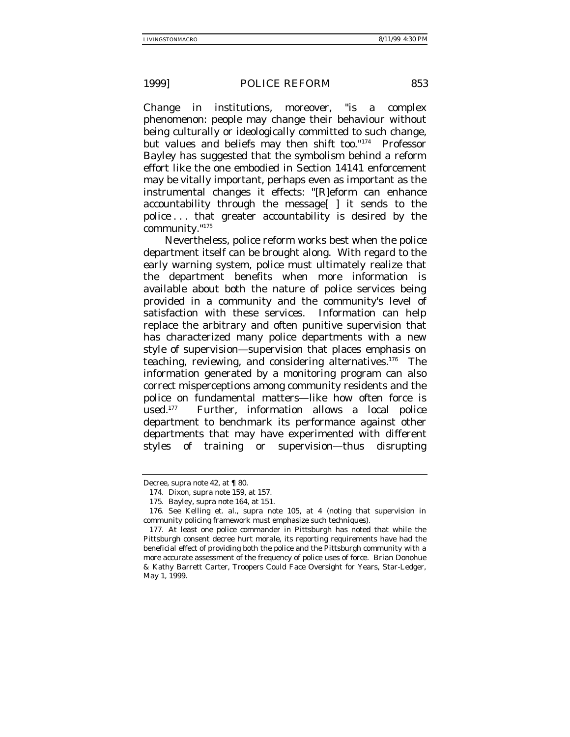Change in institutions, moreover, "is a complex phenomenon: people may change their behaviour without being culturally or ideologically committed to such change, but values and beliefs may then shift too."174 Professor Bayley has suggested that the *symbolism* behind a reform effort like the one embodied in Section 14141 enforcement may be vitally important, perhaps even as important as the instrumental changes it effects: "[R]eform can enhance accountability through the message[ ] it sends to the police . . . that greater accountability is desired by the community."175

Nevertheless, police reform works best when the police department itself can be brought along. With regard to the early warning system, police must ultimately realize that the department benefits when more information is available about both the nature of police services being provided in a community and the community's level of satisfaction with these services. Information can help replace the arbitrary and often punitive supervision that has characterized many police departments with a new style of supervision—supervision that places emphasis on teaching, reviewing, and considering alternatives.176 The information generated by a monitoring program can also correct misperceptions among community residents and the police on fundamental matters—like how often force is used.177 Further, information allows a local police department to benchmark its performance against other departments that may have experimented with different styles of training or supervision—thus disrupting

Decree, supra note 42, at ¶ 80.

<sup>174.</sup> Dixon, supra note 159, at 157.

<sup>175.</sup> Bayley, supra note 164, at 151.

<sup>176.</sup> See Kelling et. al., supra note 105, at 4 (noting that supervision in community policing framework must emphasize such techniques).

<sup>177.</sup> At least one police commander in Pittsburgh has noted that while the Pittsburgh consent decree hurt morale, its reporting requirements have had the beneficial effect of providing both the police and the Pittsburgh community with a more accurate assessment of the frequency of police uses of force. Brian Donohue & Kathy Barrett Carter, Troopers Could Face Oversight for Years, Star-Ledger, May 1, 1999.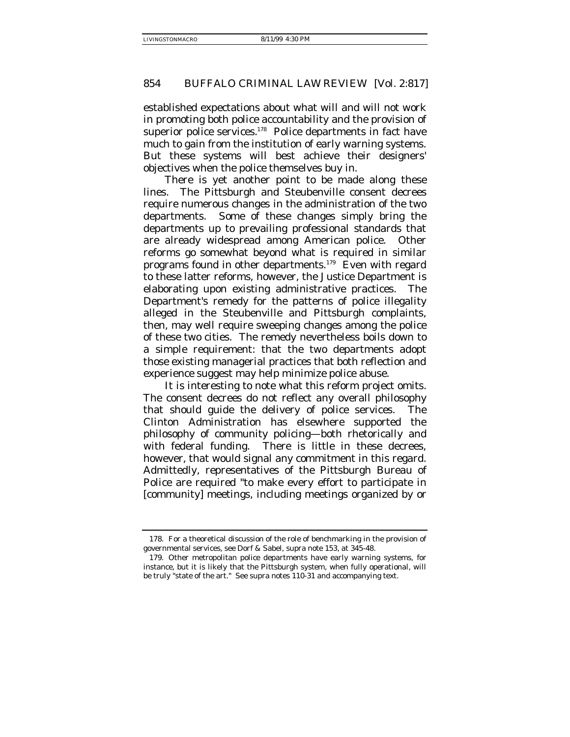established expectations about what will and will not work in promoting both police accountability and the provision of superior police services.<sup>178</sup> Police departments in fact have much to gain from the institution of early warning systems. But these systems will best achieve their designers' objectives when the police themselves buy in.

There is yet another point to be made along these lines. The Pittsburgh and Steubenville consent decrees require numerous changes in the administration of the two departments. Some of these changes simply bring the departments up to prevailing professional standards that are already widespread among American police. Other reforms go somewhat beyond what is required in similar programs found in other departments.179 Even with regard to these latter reforms, however, the Justice Department is elaborating upon existing administrative practices. The Department's remedy for the patterns of police illegality alleged in the Steubenville and Pittsburgh complaints, then, may well require sweeping changes among the police of these two cities. The remedy nevertheless boils down to a simple requirement: that the two departments adopt those existing managerial practices that both reflection and experience suggest may help minimize police abuse.

It is interesting to note what this reform project omits. The consent decrees do not reflect any overall philosophy that should guide the delivery of police services. The Clinton Administration has elsewhere supported the philosophy of community policing—both rhetorically and with federal funding. There is little in these decrees, however, that would signal any commitment in this regard. Admittedly, representatives of the Pittsburgh Bureau of Police are required "to make every effort to participate in [community] meetings, including meetings organized by or

<sup>178.</sup> For a theoretical discussion of the role of benchmarking in the provision of governmental services, see Dorf & Sabel, supra note 153, at 345-48.

<sup>179.</sup> Other metropolitan police departments have early warning systems, for instance, but it is likely that the Pittsburgh system, when fully operational, will be truly "state of the art." See supra notes 110-31 and accompanying text.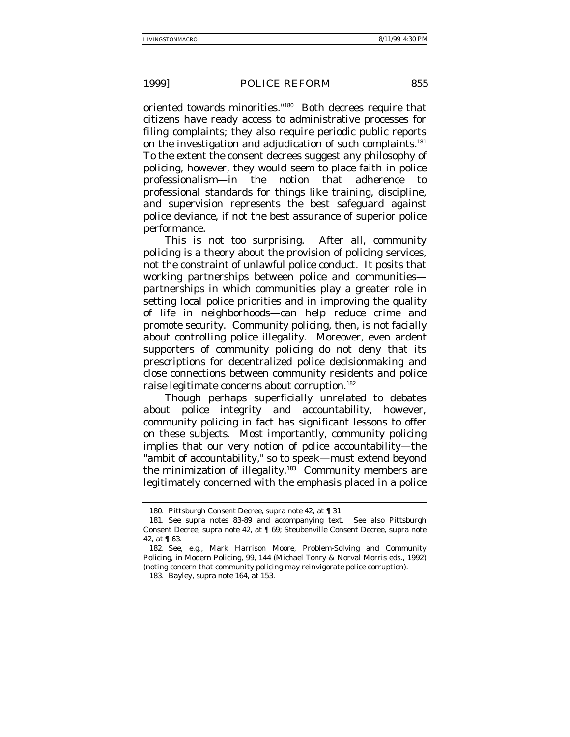oriented towards minorities."180 Both decrees require that citizens have ready access to administrative processes for filing complaints; they also require periodic public reports on the investigation and adjudication of such complaints.<sup>181</sup> To the extent the consent decrees suggest any philosophy of policing, however, they would seem to place faith in police professionalism—in the notion that adherence to professional standards for things like training, discipline, and supervision represents the best safeguard against police deviance, if not the best assurance of superior police performance.

This is not too surprising. After all, community policing is a theory about the provision of policing services, not the constraint of unlawful police conduct. It posits that working partnerships between police and communities partnerships in which communities play a greater role in setting local police priorities and in improving the quality of life in neighborhoods—can help reduce crime and promote security. Community policing, then, is not facially about controlling police illegality. Moreover, even ardent supporters of community policing do not deny that its prescriptions for decentralized police decisionmaking and close connections between community residents and police raise legitimate concerns about corruption.182

Though perhaps superficially unrelated to debates about police integrity and accountability, however, community policing in fact has significant lessons to offer on these subjects. Most importantly, community policing implies that our very notion of police accountability—the "ambit of accountability," so to speak—must extend beyond the minimization of illegality.<sup>183</sup> Community members are legitimately concerned with the emphasis placed in a police

<sup>180.</sup> Pittsburgh Consent Decree, supra note 42, at ¶ 31.

<sup>181.</sup> See supra notes 83-89 and accompanying text. See also Pittsburgh Consent Decree, supra note 42, at ¶ 69; Steubenville Consent Decree, supra note 42, at ¶ 63.

<sup>182.</sup> See, e.g., Mark Harrison Moore, Problem-Solving and Community Policing, in Modern Policing, 99, 144 (Michael Tonry & Norval Morris eds., 1992) (noting concern that community policing may reinvigorate police corruption).

<sup>183.</sup> Bayley, supra note 164, at 153.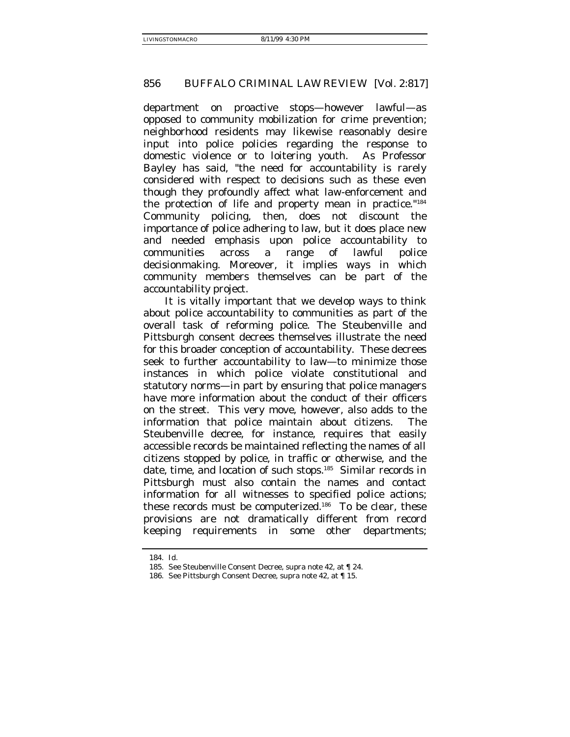department on proactive stops—however lawful—as opposed to community mobilization for crime prevention; neighborhood residents may likewise reasonably desire input into police policies regarding the response to domestic violence or to loitering youth. As Professor Bayley has said, "the need for accountability is rarely considered with respect to decisions such as these even though they profoundly affect what law-enforcement and the protection of life and property mean in practice."184 Community policing, then, does not discount the importance of police adhering to law, but it does place new and needed emphasis upon police accountability to communities across a range of *lawful* police decisionmaking. Moreover, it implies ways in which community members themselves can be part of the accountability project.

It is vitally important that we develop ways to think about police accountability to communities as part of the overall task of reforming police. The Steubenville and Pittsburgh consent decrees themselves illustrate the need for this broader conception of accountability. These decrees seek to further accountability to law—to minimize those instances in which police violate constitutional and statutory norms—in part by ensuring that police managers have more information about the conduct of their officers on the street. This very move, however, also adds to the information that police maintain about citizens. The Steubenville decree, for instance, requires that easily accessible records be maintained reflecting the names of all citizens stopped by police, in traffic or otherwise, and the date, time, and location of such stops.185 Similar records in Pittsburgh must also contain the names and contact information for all witnesses to specified police actions; these records must be computerized.<sup>186</sup> To be clear, these provisions are not dramatically different from record keeping requirements in some other departments;

<sup>184.</sup> Id.

<sup>185.</sup> See Steubenville Consent Decree, supra note 42, at ¶ 24.

<sup>186.</sup> See Pittsburgh Consent Decree, supra note 42, at ¶ 15.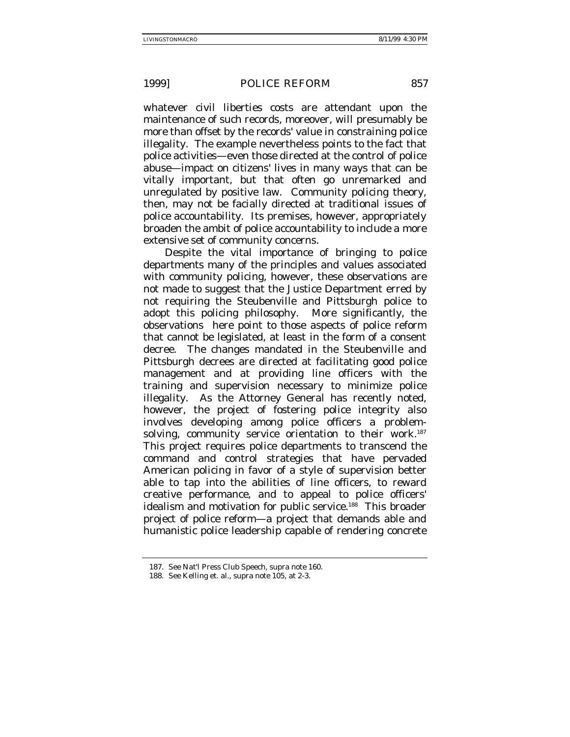whatever civil liberties costs are attendant upon the maintenance of such records, moreover, will presumably be more than offset by the records' value in constraining police illegality. The example nevertheless points to the fact that police activities—even those directed at the control of police abuse—impact on citizens' lives in many ways that can be vitally important, but that often go unremarked and unregulated by positive law. Community policing theory, then, may not be facially directed at traditional issues of police accountability. Its premises, however, appropriately broaden the ambit of police accountability to include a more extensive set of community concerns.

Despite the vital importance of bringing to police departments many of the principles and values associated with community policing, however, these observations are not made to suggest that the Justice Department erred by not requiring the Steubenville and Pittsburgh police to adopt this policing philosophy. More significantly, the observations here point to those aspects of police reform that cannot be legislated, at least in the form of a consent decree. The changes mandated in the Steubenville and Pittsburgh decrees are directed at facilitating good police management and at providing line officers with the training and supervision necessary to minimize police illegality. As the Attorney General has recently noted, however, the project of fostering police integrity also involves developing among police officers a problemsolving, community service orientation to their work.<sup>187</sup> This project requires police departments to transcend the command and control strategies that have pervaded American policing in favor of a style of supervision better able to tap into the abilities of line officers, to reward creative performance, and to appeal to police officers' idealism and motivation for public service.<sup>188</sup> This broader project of police reform—a project that demands able and humanistic police leadership capable of rendering concrete

<sup>187.</sup> See Nat'l Press Club Speech, supra note 160.

<sup>188.</sup> See Kelling et. al., supra note 105, at 2-3.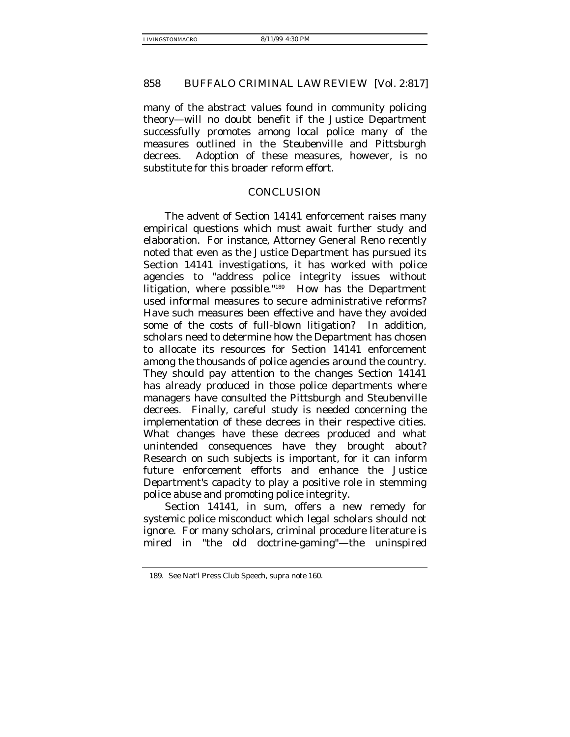many of the abstract values found in community policing theory—will no doubt benefit if the Justice Department successfully promotes among local police many of the measures outlined in the Steubenville and Pittsburgh decrees. Adoption of these measures, however, is no substitute for this broader reform effort.

## CONCLUSION

The advent of Section 14141 enforcement raises many empirical questions which must await further study and elaboration. For instance, Attorney General Reno recently noted that even as the Justice Department has pursued its Section 14141 investigations, it has worked with police agencies to "address police integrity issues without litigation, where possible."189 How has the Department used informal measures to secure administrative reforms? Have such measures been effective and have they avoided some of the costs of full-blown litigation? In addition, scholars need to determine how the Department has chosen to allocate its resources for Section 14141 enforcement among the thousands of police agencies around the country. They should pay attention to the changes Section 14141 has already produced in those police departments where managers have consulted the Pittsburgh and Steubenville decrees. Finally, careful study is needed concerning the implementation of these decrees in their respective cities. What changes have these decrees produced and what unintended consequences have they brought about? Research on such subjects is important, for it can inform future enforcement efforts and enhance the Justice Department's capacity to play a positive role in stemming police abuse and promoting police integrity.

Section 14141, in sum, offers a new remedy for systemic police misconduct which legal scholars should not ignore. For many scholars, criminal procedure literature is mired in "the old doctrine-gaming"—the uninspired

<sup>189.</sup> See Nat'l Press Club Speech, supra note 160.